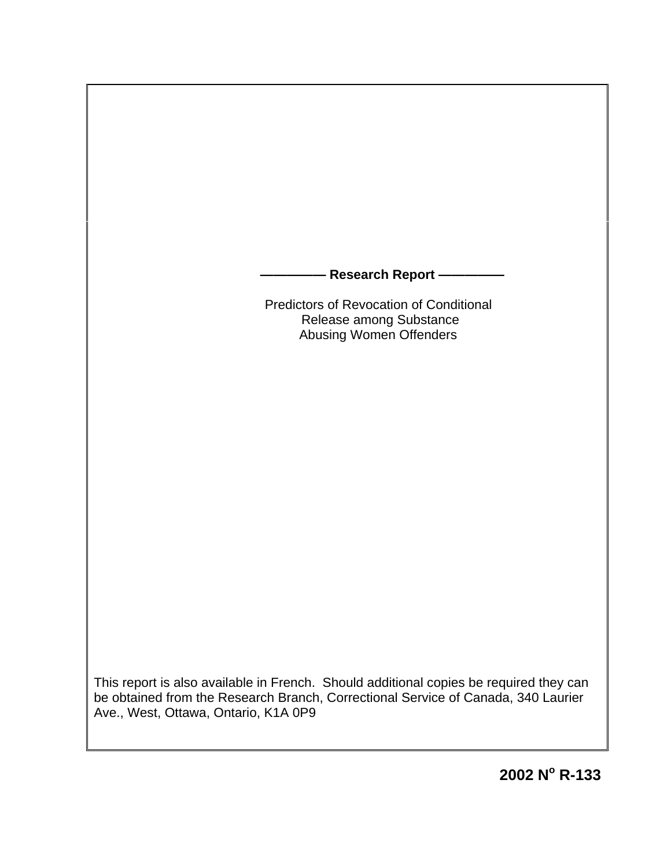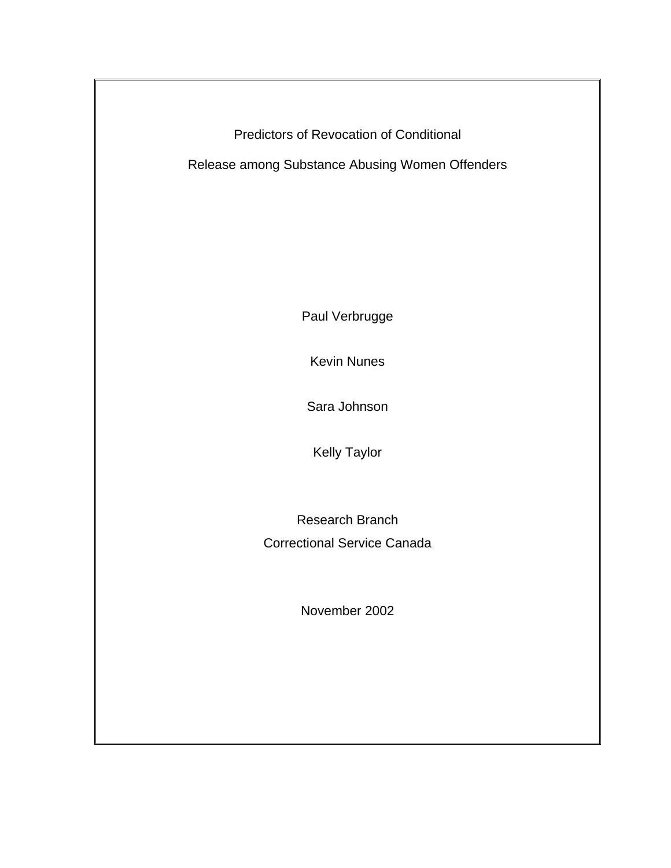Predictors of Revocation of Conditional

Release among Substance Abusing Women Offenders

Paul Verbrugge

Kevin Nunes

Sara Johnson

Kelly Taylor

Research Branch Correctional Service Canada

November 2002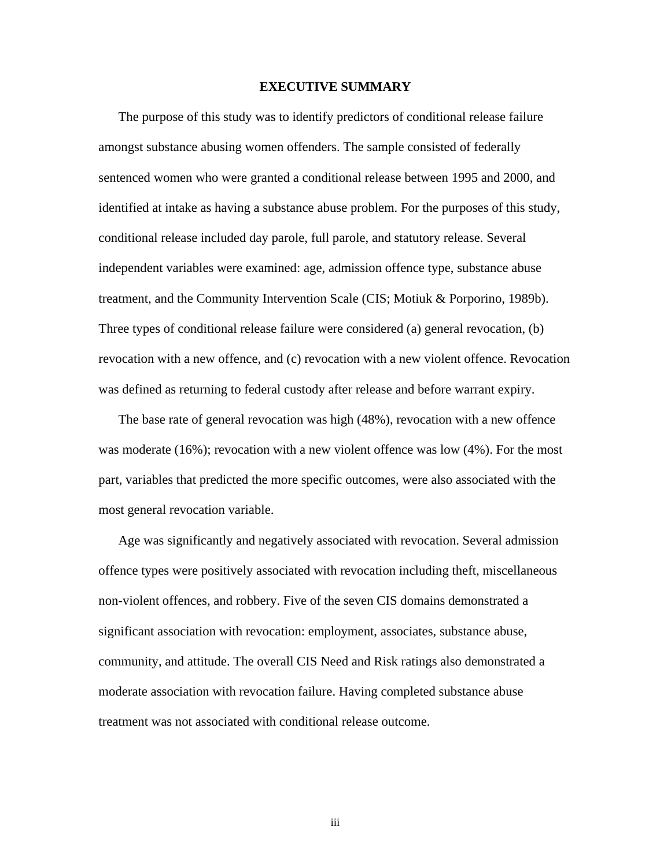### <span id="page-2-0"></span>**EXECUTIVE SUMMARY**

 The purpose of this study was to identify predictors of conditional release failure amongst substance abusing women offenders. The sample consisted of federally sentenced women who were granted a conditional release between 1995 and 2000, and identified at intake as having a substance abuse problem. For the purposes of this study, conditional release included day parole, full parole, and statutory release. Several independent variables were examined: age, admission offence type, substance abuse treatment, and the Community Intervention Scale (CIS; Motiuk & Porporino, 1989b). Three types of conditional release failure were considered (a) general revocation, (b) revocation with a new offence, and (c) revocation with a new violent offence. Revocation was defined as returning to federal custody after release and before warrant expiry.

 The base rate of general revocation was high (48%), revocation with a new offence was moderate (16%); revocation with a new violent offence was low (4%). For the most part, variables that predicted the more specific outcomes, were also associated with the most general revocation variable.

 Age was significantly and negatively associated with revocation. Several admission offence types were positively associated with revocation including theft, miscellaneous non-violent offences, and robbery. Five of the seven CIS domains demonstrated a significant association with revocation: employment, associates, substance abuse, community, and attitude. The overall CIS Need and Risk ratings also demonstrated a moderate association with revocation failure. Having completed substance abuse treatment was not associated with conditional release outcome.

iii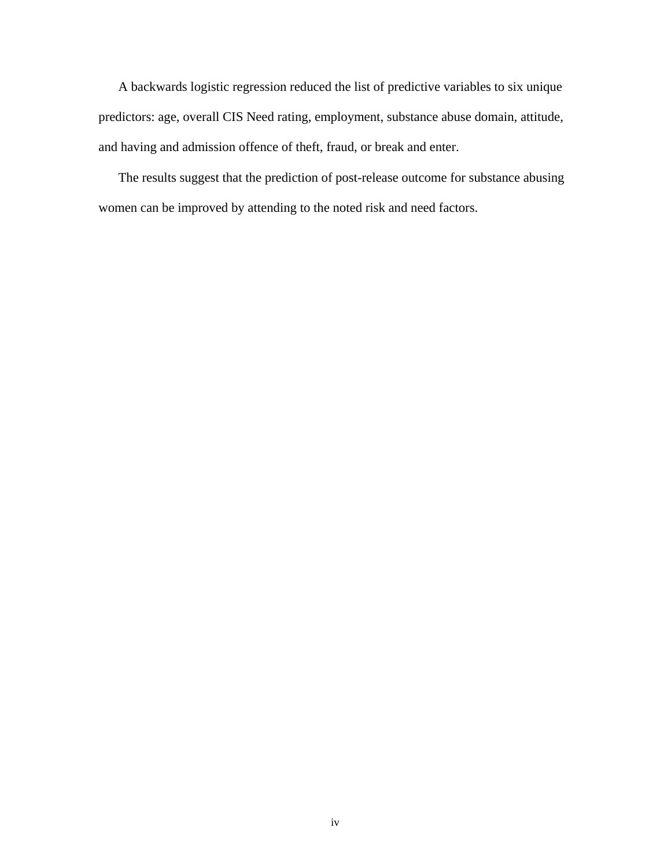A backwards logistic regression reduced the list of predictive variables to six unique predictors: age, overall CIS Need rating, employment, substance abuse domain, attitude, and having and admission offence of theft, fraud, or break and enter.

 The results suggest that the prediction of post-release outcome for substance abusing women can be improved by attending to the noted risk and need factors.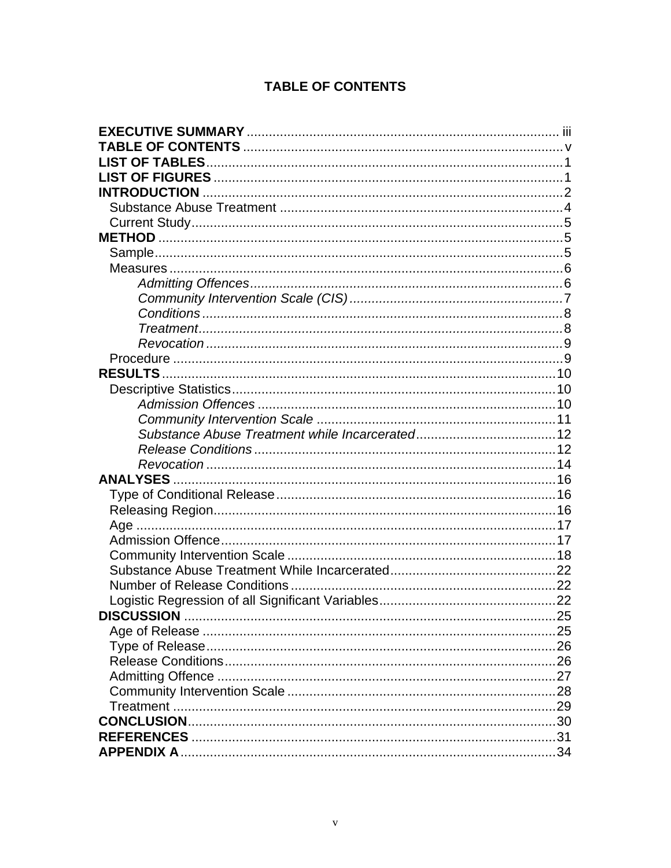# <span id="page-4-0"></span>**TABLE OF CONTENTS**

| <b>DISCUSSION</b> |  |
|-------------------|--|
|                   |  |
|                   |  |
|                   |  |
|                   |  |
|                   |  |
|                   |  |
|                   |  |
|                   |  |
|                   |  |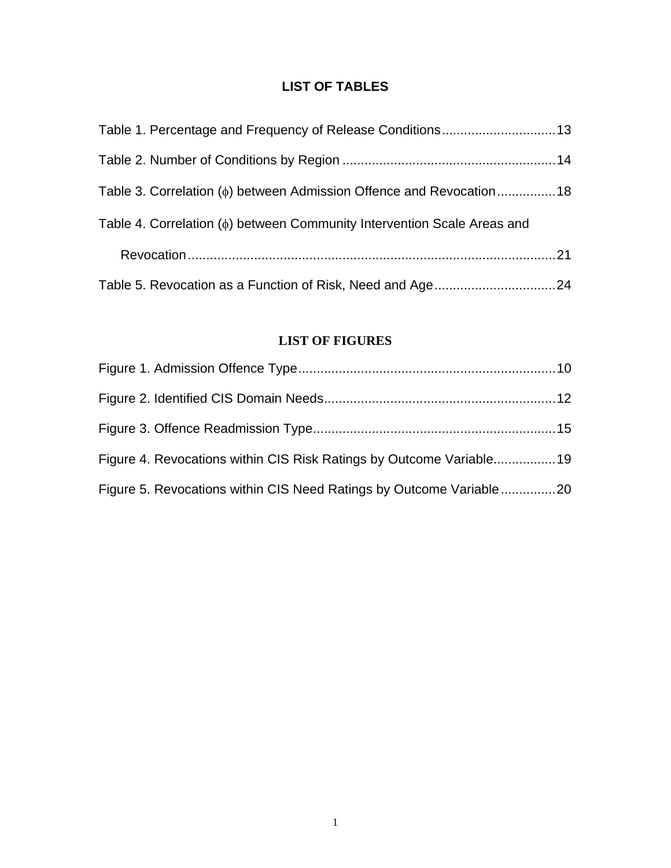# <span id="page-5-0"></span>**LIST OF TABLES**

| Table 3. Correlation ( $\phi$ ) between Admission Offence and Revocation18     |  |
|--------------------------------------------------------------------------------|--|
| Table 4. Correlation ( $\phi$ ) between Community Intervention Scale Areas and |  |
|                                                                                |  |
|                                                                                |  |

# <span id="page-5-1"></span>**LIST OF FIGURES**

| Figure 4. Revocations within CIS Risk Ratings by Outcome Variable19 |  |
|---------------------------------------------------------------------|--|
| Figure 5. Revocations within CIS Need Ratings by Outcome Variable20 |  |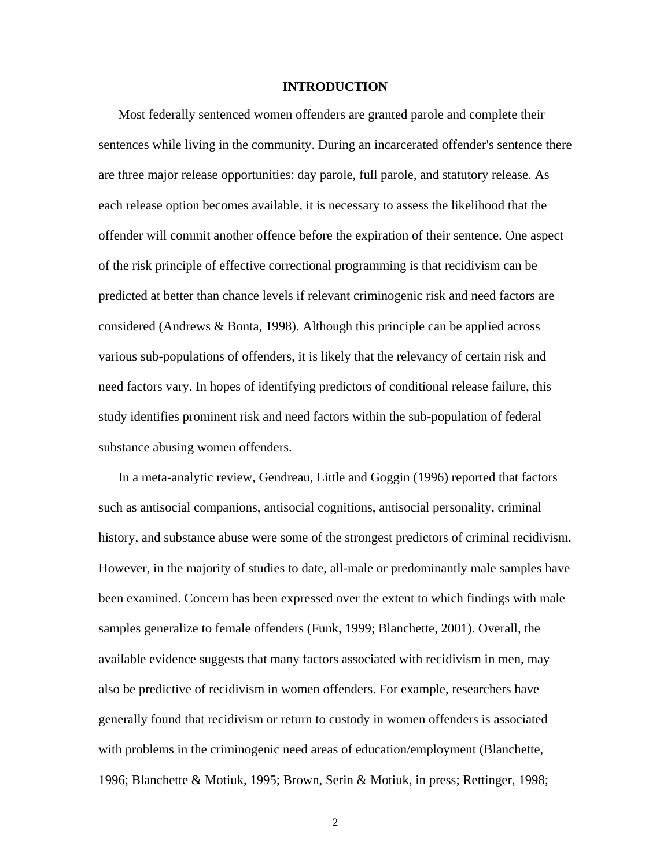### <span id="page-6-0"></span>**INTRODUCTION**

 Most federally sentenced women offenders are granted parole and complete their sentences while living in the community. During an incarcerated offender's sentence there are three major release opportunities: day parole, full parole, and statutory release. As each release option becomes available, it is necessary to assess the likelihood that the offender will commit another offence before the expiration of their sentence. One aspect of the risk principle of effective correctional programming is that recidivism can be predicted at better than chance levels if relevant criminogenic risk and need factors are considered (Andrews & Bonta, 1998). Although this principle can be applied across various sub-populations of offenders, it is likely that the relevancy of certain risk and need factors vary. In hopes of identifying predictors of conditional release failure, this study identifies prominent risk and need factors within the sub-population of federal substance abusing women offenders.

 In a meta-analytic review, Gendreau, Little and Goggin (1996) reported that factors such as antisocial companions, antisocial cognitions, antisocial personality, criminal history, and substance abuse were some of the strongest predictors of criminal recidivism. However, in the majority of studies to date, all-male or predominantly male samples have been examined. Concern has been expressed over the extent to which findings with male samples generalize to female offenders (Funk, 1999; Blanchette, 2001). Overall, the available evidence suggests that many factors associated with recidivism in men, may also be predictive of recidivism in women offenders. For example, researchers have generally found that recidivism or return to custody in women offenders is associated with problems in the criminogenic need areas of education/employment (Blanchette, 1996; Blanchette & Motiuk, 1995; Brown, Serin & Motiuk, in press; Rettinger, 1998;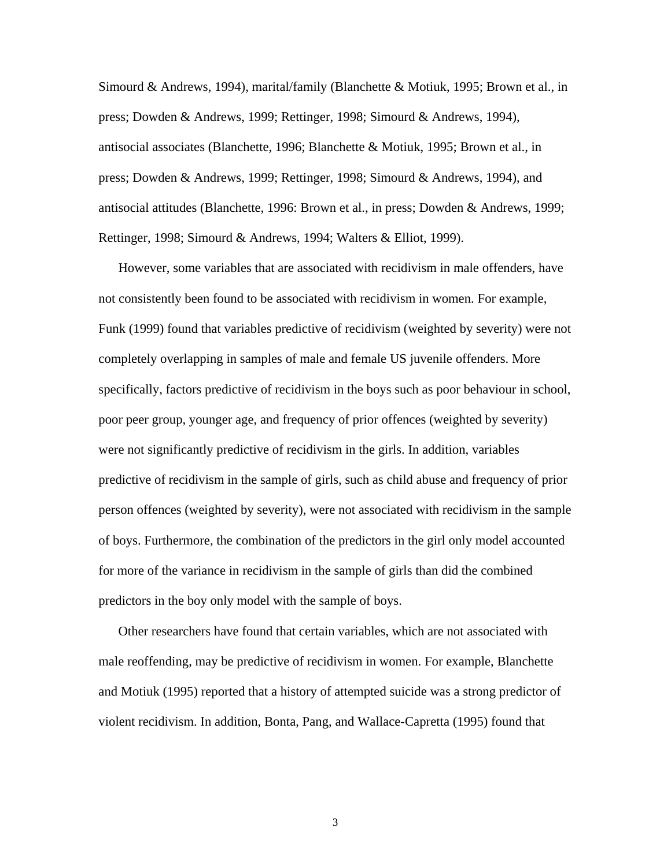Simourd & Andrews, 1994), marital/family (Blanchette & Motiuk, 1995; Brown et al., in press; Dowden & Andrews, 1999; Rettinger, 1998; Simourd & Andrews, 1994), antisocial associates (Blanchette, 1996; Blanchette & Motiuk, 1995; Brown et al., in press; Dowden & Andrews, 1999; Rettinger, 1998; Simourd & Andrews, 1994), and antisocial attitudes (Blanchette, 1996: Brown et al., in press; Dowden & Andrews, 1999; Rettinger, 1998; Simourd & Andrews, 1994; Walters & Elliot, 1999).

 However, some variables that are associated with recidivism in male offenders, have not consistently been found to be associated with recidivism in women. For example, Funk (1999) found that variables predictive of recidivism (weighted by severity) were not completely overlapping in samples of male and female US juvenile offenders. More specifically, factors predictive of recidivism in the boys such as poor behaviour in school, poor peer group, younger age, and frequency of prior offences (weighted by severity) were not significantly predictive of recidivism in the girls. In addition, variables predictive of recidivism in the sample of girls, such as child abuse and frequency of prior person offences (weighted by severity), were not associated with recidivism in the sample of boys. Furthermore, the combination of the predictors in the girl only model accounted for more of the variance in recidivism in the sample of girls than did the combined predictors in the boy only model with the sample of boys.

 Other researchers have found that certain variables, which are not associated with male reoffending, may be predictive of recidivism in women. For example, Blanchette and Motiuk (1995) reported that a history of attempted suicide was a strong predictor of violent recidivism. In addition, Bonta, Pang, and Wallace-Capretta (1995) found that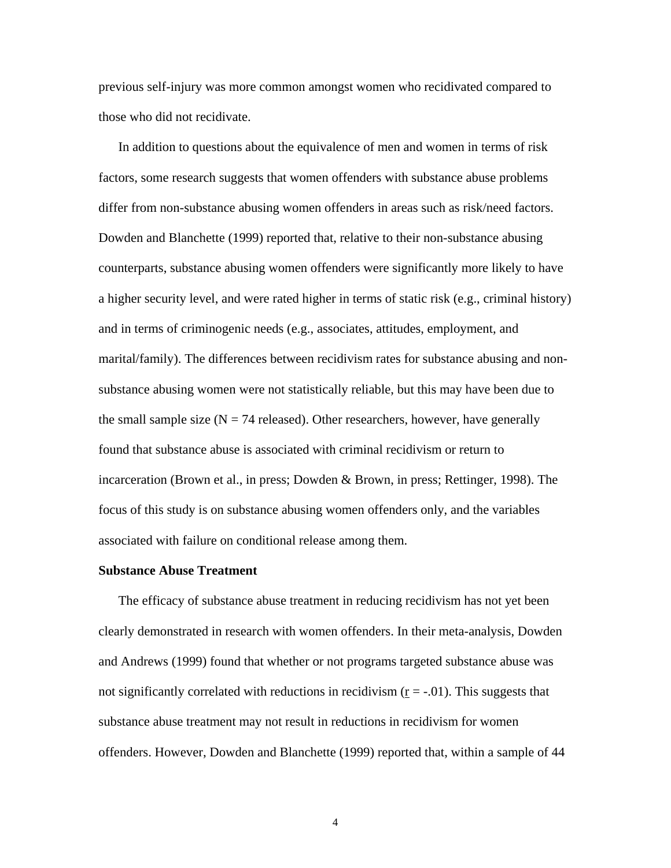previous self-injury was more common amongst women who recidivated compared to those who did not recidivate.

 In addition to questions about the equivalence of men and women in terms of risk factors, some research suggests that women offenders with substance abuse problems differ from non-substance abusing women offenders in areas such as risk/need factors. Dowden and Blanchette (1999) reported that, relative to their non-substance abusing counterparts, substance abusing women offenders were significantly more likely to have a higher security level, and were rated higher in terms of static risk (e.g., criminal history) and in terms of criminogenic needs (e.g., associates, attitudes, employment, and marital/family). The differences between recidivism rates for substance abusing and nonsubstance abusing women were not statistically reliable, but this may have been due to the small sample size  $(N = 74$  released). Other researchers, however, have generally found that substance abuse is associated with criminal recidivism or return to incarceration (Brown et al., in press; Dowden & Brown, in press; Rettinger, 1998). The focus of this study is on substance abusing women offenders only, and the variables associated with failure on conditional release among them.

### <span id="page-8-0"></span>**Substance Abuse Treatment**

 The efficacy of substance abuse treatment in reducing recidivism has not yet been clearly demonstrated in research with women offenders. In their meta-analysis, Dowden and Andrews (1999) found that whether or not programs targeted substance abuse was not significantly correlated with reductions in recidivism  $(r = -0.01)$ . This suggests that substance abuse treatment may not result in reductions in recidivism for women offenders. However, Dowden and Blanchette (1999) reported that, within a sample of 44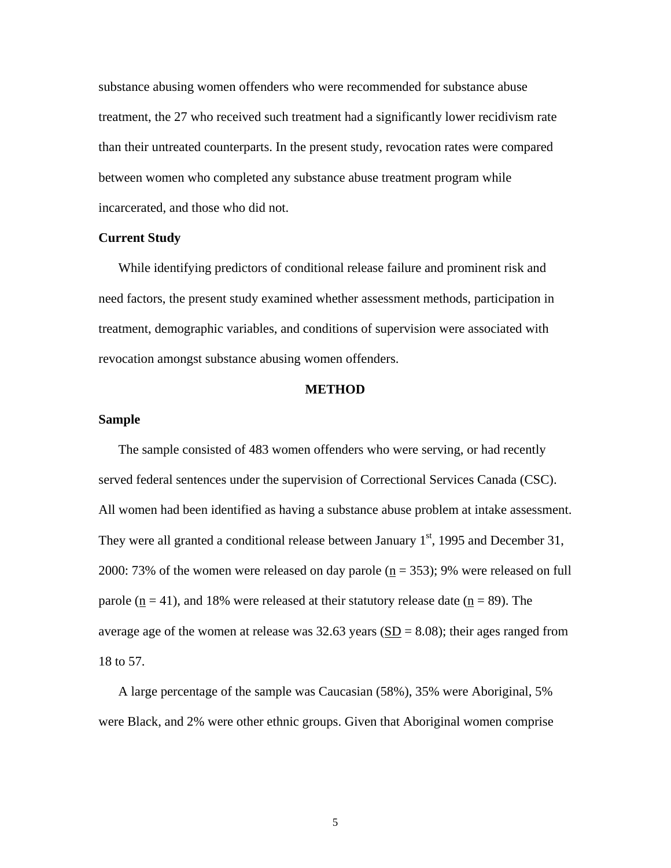substance abusing women offenders who were recommended for substance abuse treatment, the 27 who received such treatment had a significantly lower recidivism rate than their untreated counterparts. In the present study, revocation rates were compared between women who completed any substance abuse treatment program while incarcerated, and those who did not.

### <span id="page-9-0"></span>**Current Study**

 While identifying predictors of conditional release failure and prominent risk and need factors, the present study examined whether assessment methods, participation in treatment, demographic variables, and conditions of supervision were associated with revocation amongst substance abusing women offenders.

#### <span id="page-9-1"></span>**METHOD**

### <span id="page-9-2"></span>**Sample**

 The sample consisted of 483 women offenders who were serving, or had recently served federal sentences under the supervision of Correctional Services Canada (CSC). All women had been identified as having a substance abuse problem at intake assessment. They were all granted a conditional release between January  $1<sup>st</sup>$ , 1995 and December 31, 2000: 73% of the women were released on day parole  $(n = 353)$ ; 9% were released on full parole ( $n = 41$ ), and 18% were released at their statutory release date ( $n = 89$ ). The average age of the women at release was  $32.63$  years ( $SD = 8.08$ ); their ages ranged from 18 to 57.

 A large percentage of the sample was Caucasian (58%), 35% were Aboriginal, 5% were Black, and 2% were other ethnic groups. Given that Aboriginal women comprise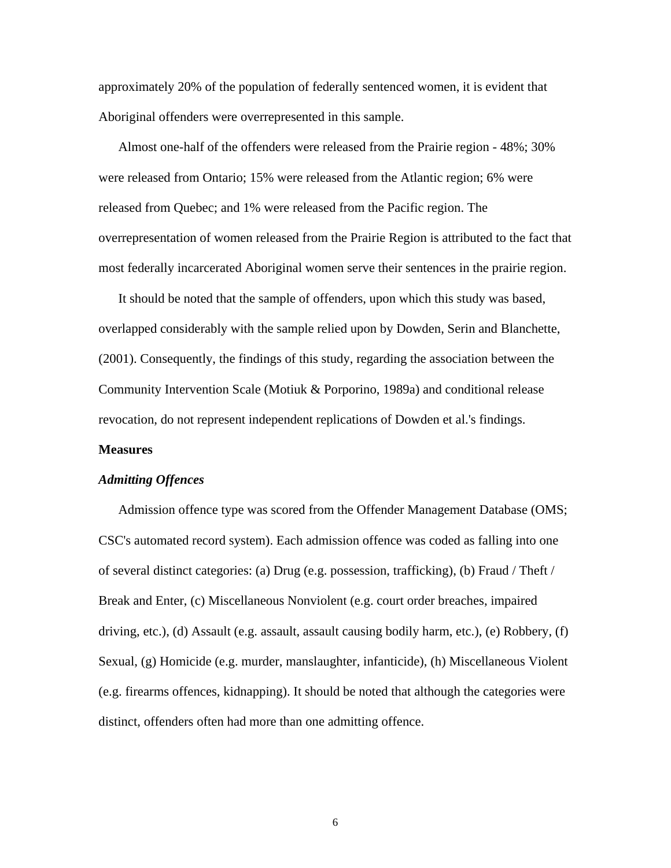approximately 20% of the population of federally sentenced women, it is evident that Aboriginal offenders were overrepresented in this sample.

 Almost one-half of the offenders were released from the Prairie region - 48%; 30% were released from Ontario; 15% were released from the Atlantic region; 6% were released from Quebec; and 1% were released from the Pacific region. The overrepresentation of women released from the Prairie Region is attributed to the fact that most federally incarcerated Aboriginal women serve their sentences in the prairie region.

 It should be noted that the sample of offenders, upon which this study was based, overlapped considerably with the sample relied upon by Dowden, Serin and Blanchette, (2001). Consequently, the findings of this study, regarding the association between the Community Intervention Scale (Motiuk & Porporino, 1989a) and conditional release revocation, do not represent independent replications of Dowden et al.'s findings.

#### <span id="page-10-0"></span>**Measures**

#### <span id="page-10-1"></span>*Admitting Offences*

 Admission offence type was scored from the Offender Management Database (OMS; CSC's automated record system). Each admission offence was coded as falling into one of several distinct categories: (a) Drug (e.g. possession, trafficking), (b) Fraud / Theft / Break and Enter, (c) Miscellaneous Nonviolent (e.g. court order breaches, impaired driving, etc.), (d) Assault (e.g. assault, assault causing bodily harm, etc.), (e) Robbery, (f) Sexual, (g) Homicide (e.g. murder, manslaughter, infanticide), (h) Miscellaneous Violent (e.g. firearms offences, kidnapping). It should be noted that although the categories were distinct, offenders often had more than one admitting offence.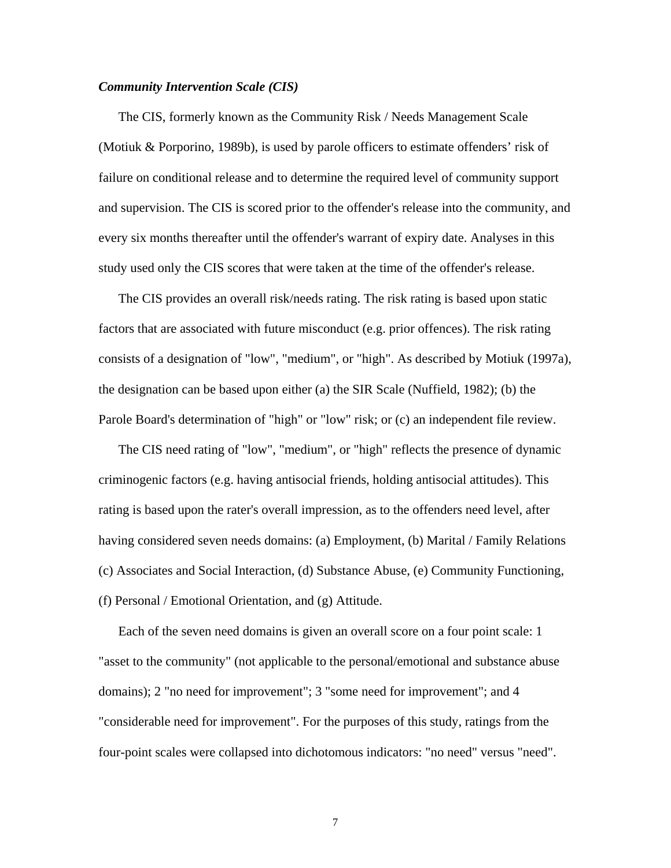### <span id="page-11-0"></span>*Community Intervention Scale (CIS)*

 The CIS, formerly known as the Community Risk / Needs Management Scale (Motiuk & Porporino, 1989b), is used by parole officers to estimate offenders' risk of failure on conditional release and to determine the required level of community support and supervision. The CIS is scored prior to the offender's release into the community, and every six months thereafter until the offender's warrant of expiry date. Analyses in this study used only the CIS scores that were taken at the time of the offender's release.

 The CIS provides an overall risk/needs rating. The risk rating is based upon static factors that are associated with future misconduct (e.g. prior offences). The risk rating consists of a designation of "low", "medium", or "high". As described by Motiuk (1997a), the designation can be based upon either (a) the SIR Scale (Nuffield, 1982); (b) the Parole Board's determination of "high" or "low" risk; or (c) an independent file review.

 The CIS need rating of "low", "medium", or "high" reflects the presence of dynamic criminogenic factors (e.g. having antisocial friends, holding antisocial attitudes). This rating is based upon the rater's overall impression, as to the offenders need level, after having considered seven needs domains: (a) Employment, (b) Marital / Family Relations (c) Associates and Social Interaction, (d) Substance Abuse, (e) Community Functioning, (f) Personal / Emotional Orientation, and (g) Attitude.

 Each of the seven need domains is given an overall score on a four point scale: 1 "asset to the community" (not applicable to the personal/emotional and substance abuse domains); 2 "no need for improvement"; 3 "some need for improvement"; and 4 "considerable need for improvement". For the purposes of this study, ratings from the four-point scales were collapsed into dichotomous indicators: "no need" versus "need".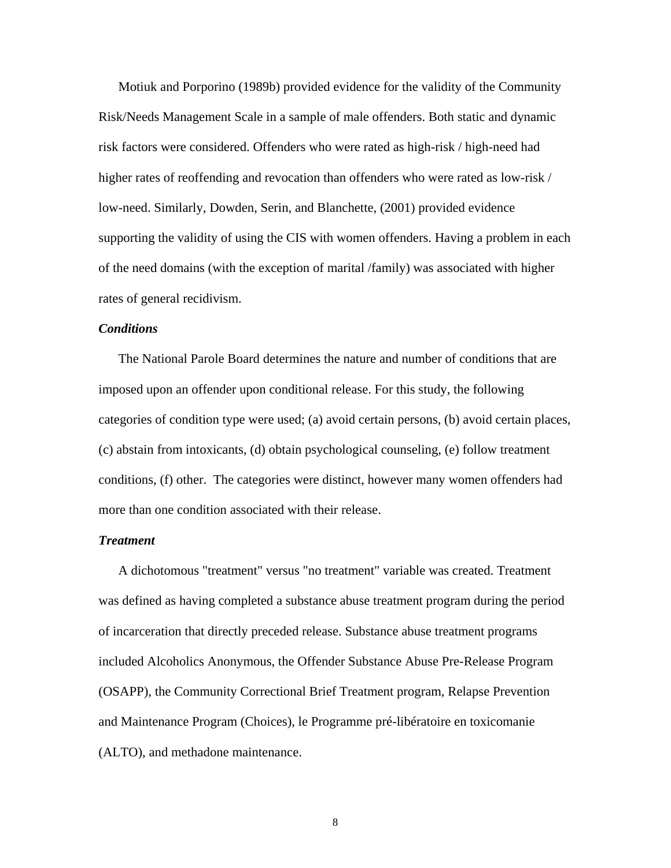Motiuk and Porporino (1989b) provided evidence for the validity of the Community Risk/Needs Management Scale in a sample of male offenders. Both static and dynamic risk factors were considered. Offenders who were rated as high-risk / high-need had higher rates of reoffending and revocation than offenders who were rated as low-risk / low-need. Similarly, Dowden, Serin, and Blanchette, (2001) provided evidence supporting the validity of using the CIS with women offenders. Having a problem in each of the need domains (with the exception of marital /family) was associated with higher rates of general recidivism.

### <span id="page-12-0"></span>*Conditions*

 The National Parole Board determines the nature and number of conditions that are imposed upon an offender upon conditional release. For this study, the following categories of condition type were used; (a) avoid certain persons, (b) avoid certain places, (c) abstain from intoxicants, (d) obtain psychological counseling, (e) follow treatment conditions, (f) other. The categories were distinct, however many women offenders had more than one condition associated with their release.

### <span id="page-12-1"></span>*Treatment*

 A dichotomous "treatment" versus "no treatment" variable was created. Treatment was defined as having completed a substance abuse treatment program during the period of incarceration that directly preceded release. Substance abuse treatment programs included Alcoholics Anonymous, the Offender Substance Abuse Pre-Release Program (OSAPP), the Community Correctional Brief Treatment program, Relapse Prevention and Maintenance Program (Choices), le Programme pré-libératoire en toxicomanie (ALTO), and methadone maintenance.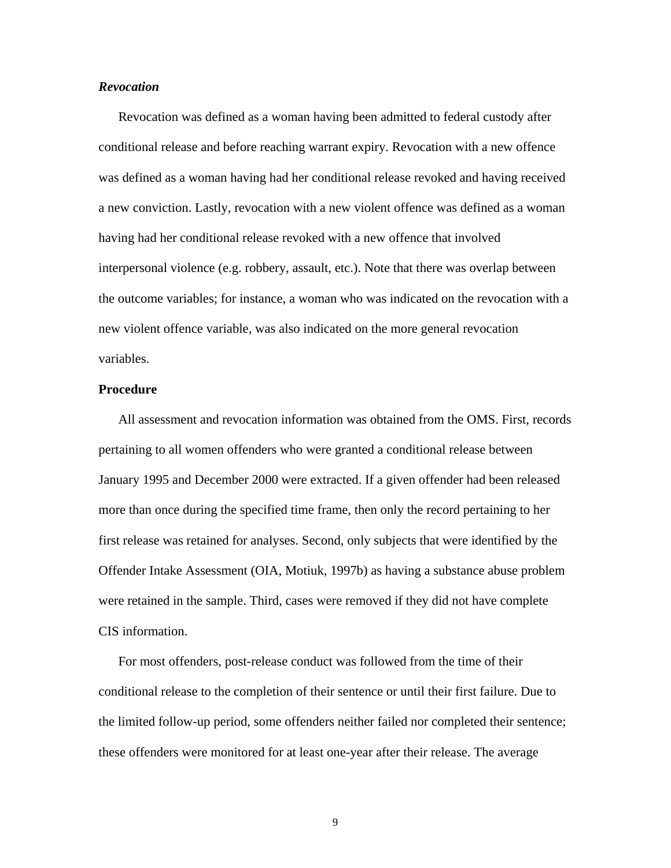### <span id="page-13-0"></span>*Revocation*

 Revocation was defined as a woman having been admitted to federal custody after conditional release and before reaching warrant expiry. Revocation with a new offence was defined as a woman having had her conditional release revoked and having received a new conviction. Lastly, revocation with a new violent offence was defined as a woman having had her conditional release revoked with a new offence that involved interpersonal violence (e.g. robbery, assault, etc.). Note that there was overlap between the outcome variables; for instance, a woman who was indicated on the revocation with a new violent offence variable, was also indicated on the more general revocation variables.

#### <span id="page-13-1"></span>**Procedure**

 All assessment and revocation information was obtained from the OMS. First, records pertaining to all women offenders who were granted a conditional release between January 1995 and December 2000 were extracted. If a given offender had been released more than once during the specified time frame, then only the record pertaining to her first release was retained for analyses. Second, only subjects that were identified by the Offender Intake Assessment (OIA, Motiuk, 1997b) as having a substance abuse problem were retained in the sample. Third, cases were removed if they did not have complete CIS information.

 For most offenders, post-release conduct was followed from the time of their conditional release to the completion of their sentence or until their first failure. Due to the limited follow-up period, some offenders neither failed nor completed their sentence; these offenders were monitored for at least one-year after their release. The average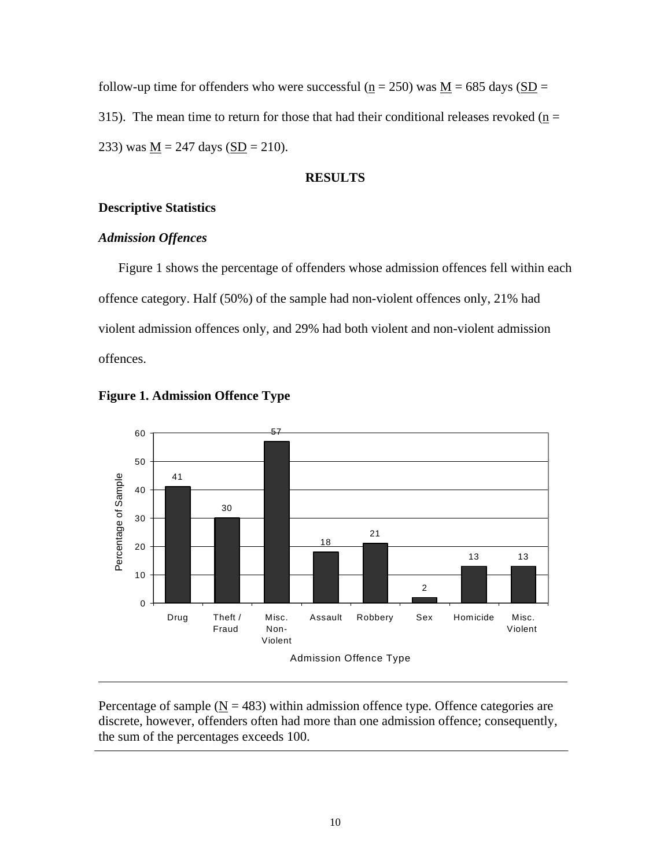follow-up time for offenders who were successful ( $n = 250$ ) was  $M = 685$  days ( $SD =$ 315). The mean time to return for those that had their conditional releases revoked ( $\underline{n}$  = 233) was  $M = 247$  days (SD = 210).

### <span id="page-14-0"></span>**RESULTS**

### <span id="page-14-1"></span>**Descriptive Statistics**

### <span id="page-14-2"></span>*Admission Offences*

 Figure 1 shows the percentage of offenders whose admission offences fell within each offence category. Half (50%) of the sample had non-violent offences only, 21% had violent admission offences only, and 29% had both violent and non-violent admission offences.



<span id="page-14-3"></span>

Percentage of sample ( $N = 483$ ) within admission offence type. Offence categories are discrete, however, offenders often had more than one admission offence; consequently, the sum of the percentages exceeds 100.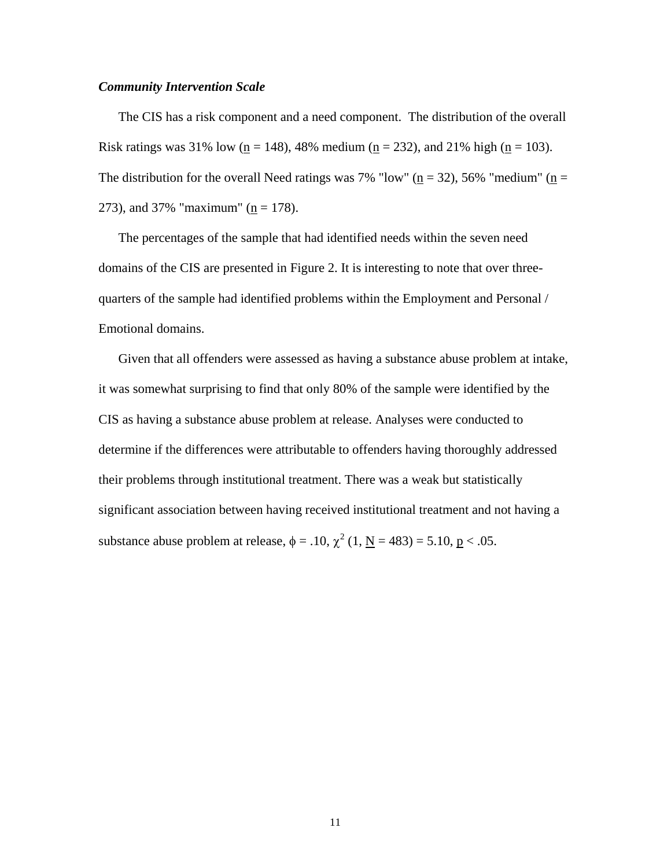### <span id="page-15-0"></span>*Community Intervention Scale*

 The CIS has a risk component and a need component. The distribution of the overall Risk ratings was 31% low (n = 148), 48% medium (n = 232), and 21% high (n = 103). The distribution for the overall Need ratings was 7% "low" ( $n = 32$ ), 56% "medium" ( $n =$ 273), and 37% "maximum" ( $n = 178$ ).

 The percentages of the sample that had identified needs within the seven need domains of the CIS are presented in Figure 2. It is interesting to note that over threequarters of the sample had identified problems within the Employment and Personal / Emotional domains.

 Given that all offenders were assessed as having a substance abuse problem at intake, it was somewhat surprising to find that only 80% of the sample were identified by the CIS as having a substance abuse problem at release. Analyses were conducted to determine if the differences were attributable to offenders having thoroughly addressed their problems through institutional treatment. There was a weak but statistically significant association between having received institutional treatment and not having a substance abuse problem at release,  $\phi = .10$ ,  $\chi^2 (1, \mathbf{N} = 483) = 5.10$ ,  $\mathbf{p} < .05$ .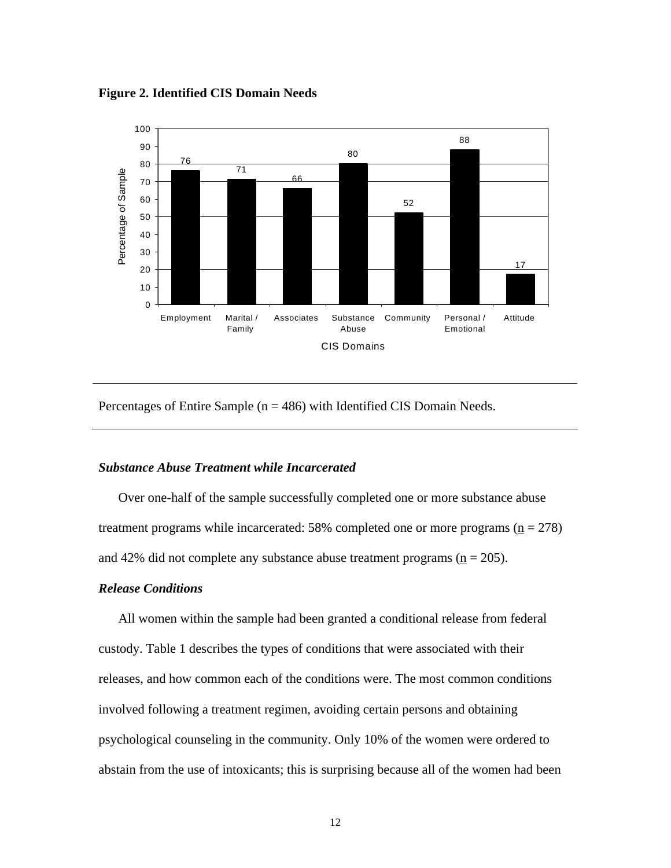<span id="page-16-2"></span>**Figure 2. Identified CIS Domain Needs**



Percentages of Entire Sample ( $n = 486$ ) with Identified CIS Domain Needs.

### <span id="page-16-0"></span>*Substance Abuse Treatment while Incarcerated*

 Over one-half of the sample successfully completed one or more substance abuse treatment programs while incarcerated: 58% completed one or more programs  $(n = 278)$ and 42% did not complete any substance abuse treatment programs  $(n = 205)$ .

#### <span id="page-16-1"></span>*Release Conditions*

 All women within the sample had been granted a conditional release from federal custody. Table 1 describes the types of conditions that were associated with their releases, and how common each of the conditions were. The most common conditions involved following a treatment regimen, avoiding certain persons and obtaining psychological counseling in the community. Only 10% of the women were ordered to abstain from the use of intoxicants; this is surprising because all of the women had been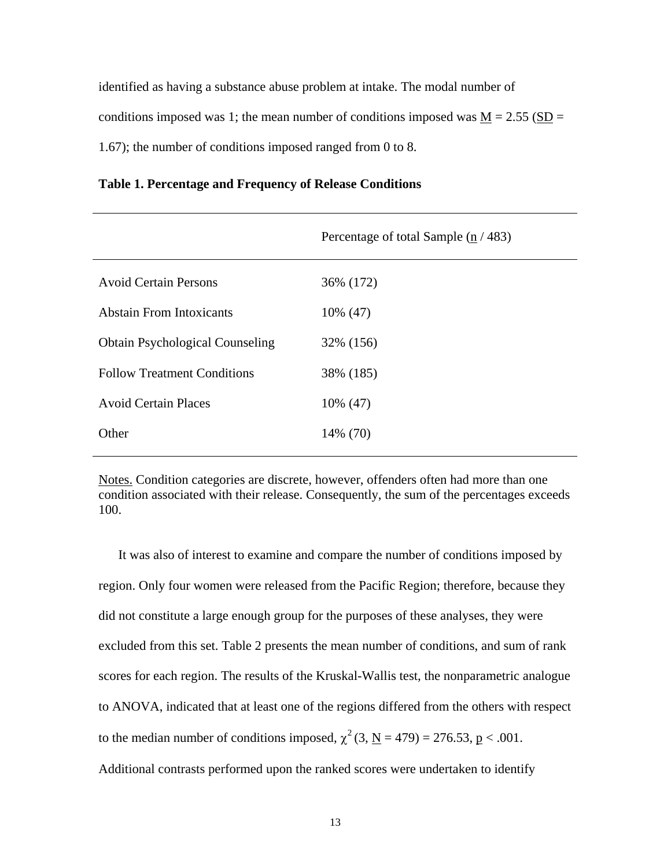identified as having a substance abuse problem at intake. The modal number of conditions imposed was 1; the mean number of conditions imposed was  $M = 2.55$  (SD = 1.67); the number of conditions imposed ranged from 0 to 8.

<span id="page-17-0"></span>

| Table 1. Percentage and Frequency of Release Conditions |  |  |
|---------------------------------------------------------|--|--|
|                                                         |  |  |

|                                        | Percentage of total Sample $(\underline{n}/483)$ |
|----------------------------------------|--------------------------------------------------|
| <b>Avoid Certain Persons</b>           | 36% (172)                                        |
| <b>Abstain From Intoxicants</b>        | 10\% (47)                                        |
| <b>Obtain Psychological Counseling</b> | 32% (156)                                        |
| <b>Follow Treatment Conditions</b>     | 38% (185)                                        |
| <b>Avoid Certain Places</b>            | 10% (47)                                         |
| Other                                  | 14% (70)                                         |
|                                        |                                                  |

Notes. Condition categories are discrete, however, offenders often had more than one condition associated with their release. Consequently, the sum of the percentages exceeds 100.

 It was also of interest to examine and compare the number of conditions imposed by region. Only four women were released from the Pacific Region; therefore, because they did not constitute a large enough group for the purposes of these analyses, they were excluded from this set. Table 2 presents the mean number of conditions, and sum of rank scores for each region. The results of the Kruskal-Wallis test, the nonparametric analogue to ANOVA, indicated that at least one of the regions differed from the others with respect to the median number of conditions imposed,  $\chi^2$  (3, N = 479) = 276.53, p < .001. Additional contrasts performed upon the ranked scores were undertaken to identify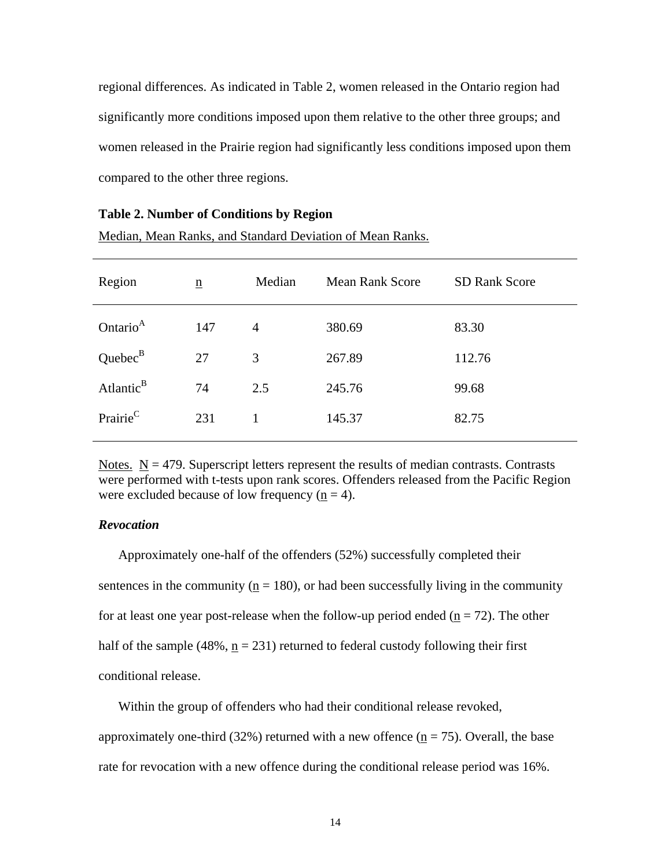regional differences. As indicated in Table 2, women released in the Ontario region had significantly more conditions imposed upon them relative to the other three groups; and women released in the Prairie region had significantly less conditions imposed upon them compared to the other three regions.

| Region                | $\underline{n}$ | Median         | <b>Mean Rank Score</b> | <b>SD Rank Score</b> |
|-----------------------|-----------------|----------------|------------------------|----------------------|
| Ontario <sup>A</sup>  | 147             | $\overline{4}$ | 380.69                 | 83.30                |
| Quebec <sup>B</sup>   | 27              | 3              | 267.89                 | 112.76               |
| Atlantic <sup>B</sup> | 74              | 2.5            | 245.76                 | 99.68                |
| Prairie <sup>C</sup>  | 231             | 1              | 145.37                 | 82.75                |
|                       |                 |                |                        |                      |

Median, Mean Ranks, and Standard Deviation of Mean Ranks.

<span id="page-18-1"></span>**Table 2. Number of Conditions by Region** 

Notes.  $N = 479$ . Superscript letters represent the results of median contrasts. Contrasts were performed with t-tests upon rank scores. Offenders released from the Pacific Region were excluded because of low frequency  $(n = 4)$ .

### <span id="page-18-0"></span>*Revocation*

 Approximately one-half of the offenders (52%) successfully completed their sentences in the community ( $n = 180$ ), or had been successfully living in the community for at least one year post-release when the follow-up period ended ( $n = 72$ ). The other half of the sample  $(48\%, n = 231)$  returned to federal custody following their first conditional release.

 Within the group of offenders who had their conditional release revoked, approximately one-third (32%) returned with a new offence  $(n = 75)$ . Overall, the base rate for revocation with a new offence during the conditional release period was 16%.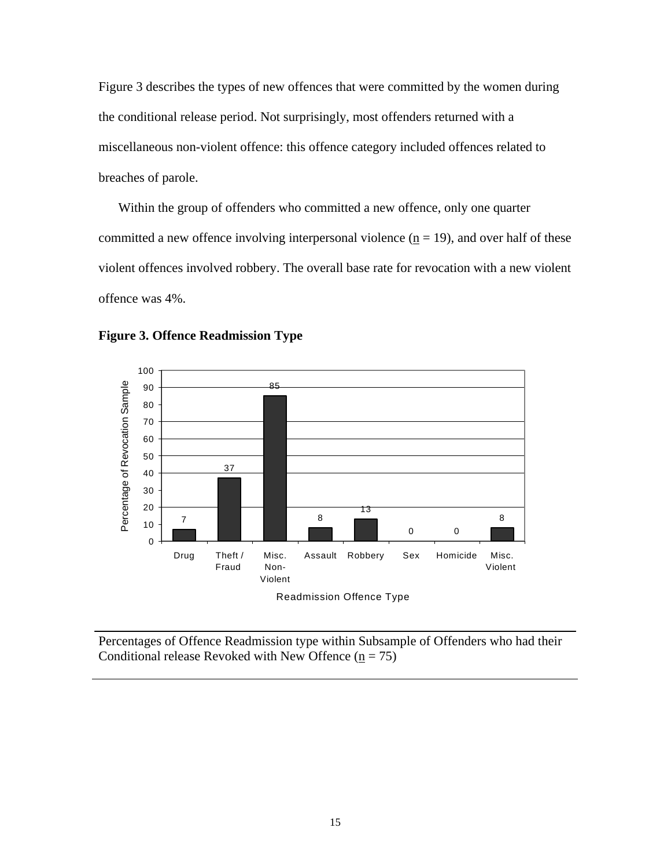Figure 3 describes the types of new offences that were committed by the women during the conditional release period. Not surprisingly, most offenders returned with a miscellaneous non-violent offence: this offence category included offences related to breaches of parole.

 Within the group of offenders who committed a new offence, only one quarter committed a new offence involving interpersonal violence  $(\underline{n} = 19)$ , and over half of these violent offences involved robbery. The overall base rate for revocation with a new violent offence was 4%.



<span id="page-19-0"></span>**Figure 3. Offence Readmission Type**

Percentages of Offence Readmission type within Subsample of Offenders who had their Conditional release Revoked with New Offence ( $n = 75$ )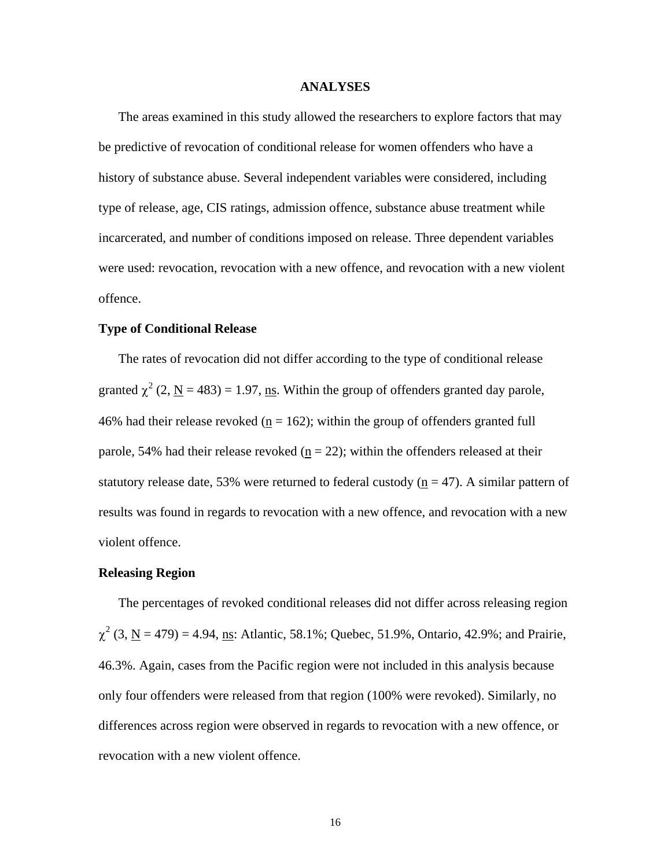#### <span id="page-20-0"></span>**ANALYSES**

 The areas examined in this study allowed the researchers to explore factors that may be predictive of revocation of conditional release for women offenders who have a history of substance abuse. Several independent variables were considered, including type of release, age, CIS ratings, admission offence, substance abuse treatment while incarcerated, and number of conditions imposed on release. Three dependent variables were used: revocation, revocation with a new offence, and revocation with a new violent offence.

### <span id="page-20-1"></span>**Type of Conditional Release**

 The rates of revocation did not differ according to the type of conditional release granted  $\chi^2$  (2, <u>N</u> = 483) = 1.97, ns. Within the group of offenders granted day parole, 46% had their release revoked ( $n = 162$ ); within the group of offenders granted full parole, 54% had their release revoked ( $n = 22$ ); within the offenders released at their statutory release date, 53% were returned to federal custody ( $n = 47$ ). A similar pattern of results was found in regards to revocation with a new offence, and revocation with a new violent offence.

#### <span id="page-20-2"></span>**Releasing Region**

 The percentages of revoked conditional releases did not differ across releasing region  $\chi^2$  (3, <u>N</u> = 479) = 4.94, <u>ns</u>: Atlantic, 58.1%; Quebec, 51.9%, Ontario, 42.9%; and Prairie, 46.3%. Again, cases from the Pacific region were not included in this analysis because only four offenders were released from that region (100% were revoked). Similarly, no differences across region were observed in regards to revocation with a new offence, or revocation with a new violent offence.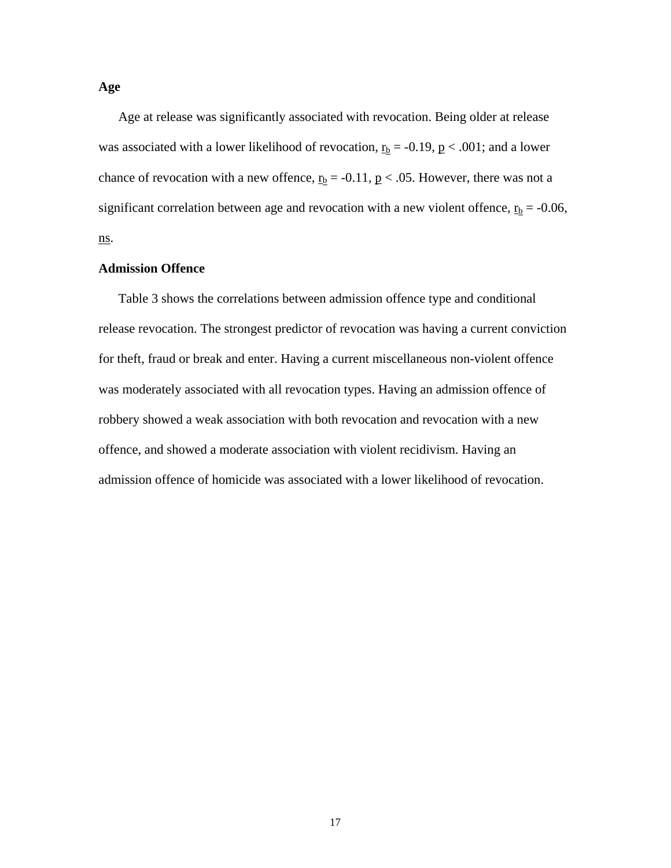<span id="page-21-0"></span> Age at release was significantly associated with revocation. Being older at release was associated with a lower likelihood of revocation,  $r_b = -0.19$ ,  $p < .001$ ; and a lower chance of revocation with a new offence,  $r_b = -0.11$ ,  $p < .05$ . However, there was not a significant correlation between age and revocation with a new violent offence,  $r_b = -0.06$ , ns.

### <span id="page-21-1"></span>**Admission Offence**

 Table 3 shows the correlations between admission offence type and conditional release revocation. The strongest predictor of revocation was having a current conviction for theft, fraud or break and enter. Having a current miscellaneous non-violent offence was moderately associated with all revocation types. Having an admission offence of robbery showed a weak association with both revocation and revocation with a new offence, and showed a moderate association with violent recidivism. Having an admission offence of homicide was associated with a lower likelihood of revocation.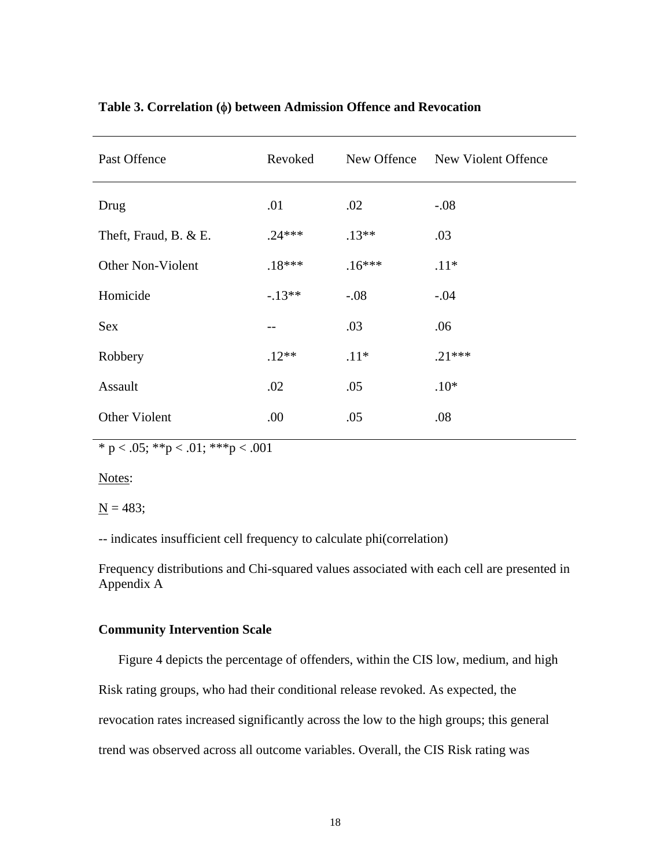| Past Offence          | Revoked  | New Offence | New Violent Offence |
|-----------------------|----------|-------------|---------------------|
| Drug                  | .01      | .02         | $-.08$              |
| Theft, Fraud, B. & E. | $.24***$ | $.13**$     | .03                 |
| Other Non-Violent     | $.18***$ | $.16***$    | $.11*$              |
| Homicide              | $-.13**$ | $-.08$      | $-.04$              |
| <b>Sex</b>            |          | .03         | .06                 |
| Robbery               | $.12**$  | $.11*$      | $.21***$            |
| Assault               | .02      | .05         | $.10*$              |
| Other Violent         | .00.     | .05         | .08                 |

# <span id="page-22-1"></span>**Table 3. Correlation (**φ**) between Admission Offence and Revocation**

\* p < .05; \*\*p < .01; \*\*\*p < .001

Notes:

 $N = 483;$ 

-- indicates insufficient cell frequency to calculate phi(correlation)

Frequency distributions and Chi-squared values associated with each cell are presented in Appendix A

## <span id="page-22-0"></span>**Community Intervention Scale**

 Figure 4 depicts the percentage of offenders, within the CIS low, medium, and high Risk rating groups, who had their conditional release revoked. As expected, the revocation rates increased significantly across the low to the high groups; this general trend was observed across all outcome variables. Overall, the CIS Risk rating was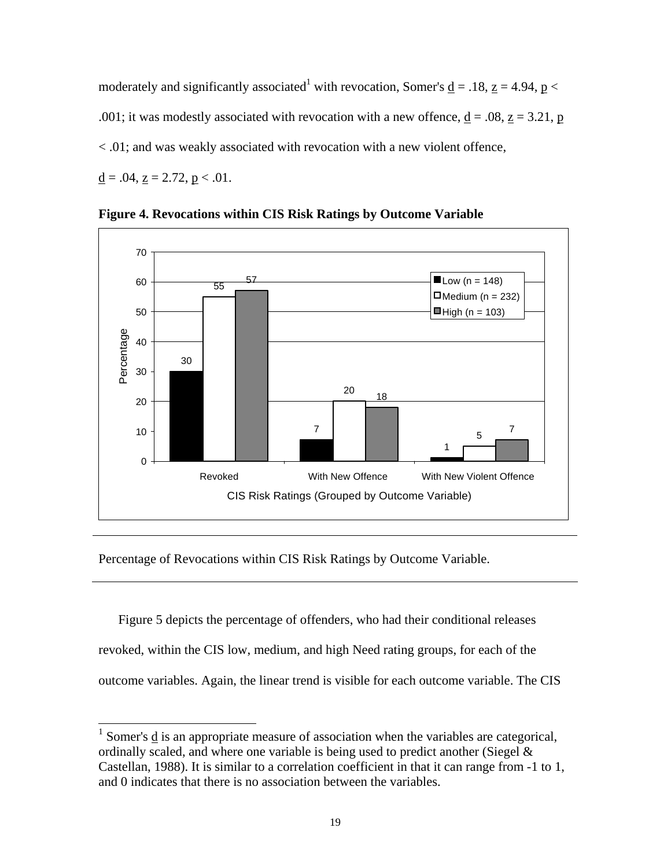moderately and significantly associated<sup>[1](#page-23-1)</sup> with revocation, Somer's <u>d</u> = .18, <u>z</u> = 4.94, <u>p</u> < .001; it was modestly associated with revocation with a new offence,  $\underline{d} = .08$ ,  $\underline{z} = 3.21$ , p < .01; and was weakly associated with revocation with a new violent offence,  $d = .04$ ,  $z = 2.72$ ,  $p < .01$ .



<span id="page-23-0"></span>**Figure 4. Revocations within CIS Risk Ratings by Outcome Variable**

Percentage of Revocations within CIS Risk Ratings by Outcome Variable.

 $\overline{a}$ 

 Figure 5 depicts the percentage of offenders, who had their conditional releases revoked, within the CIS low, medium, and high Need rating groups, for each of the outcome variables. Again, the linear trend is visible for each outcome variable. The CIS

<span id="page-23-1"></span><sup>&</sup>lt;sup>1</sup> Somer's  $\frac{d}{dx}$  is an appropriate measure of association when the variables are categorical, ordinally scaled, and where one variable is being used to predict another (Siegel  $\&$ Castellan, 1988). It is similar to a correlation coefficient in that it can range from -1 to 1, and 0 indicates that there is no association between the variables.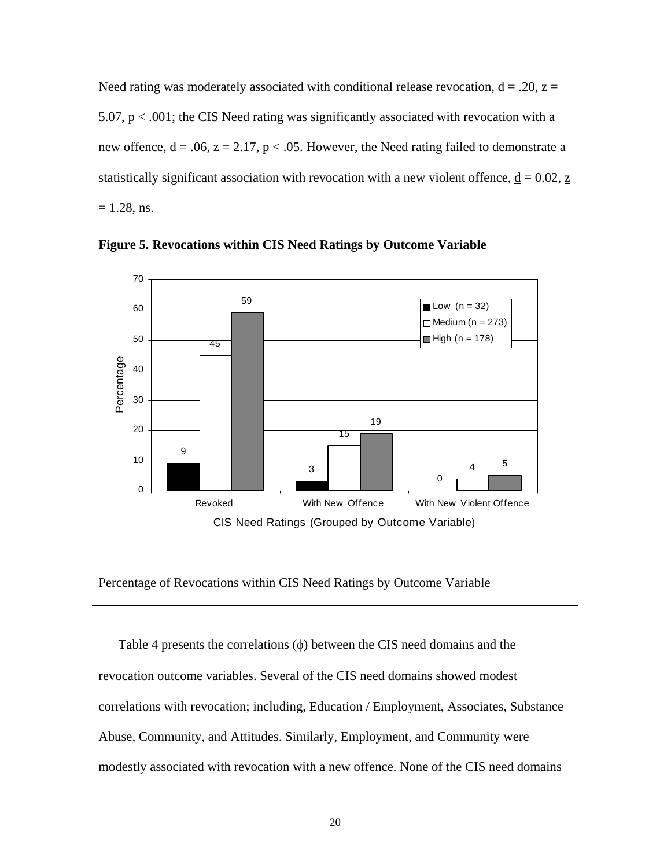Need rating was moderately associated with conditional release revocation,  $\underline{d} = .20$ ,  $\underline{z} =$ 5.07,  $p < .001$ ; the CIS Need rating was significantly associated with revocation with a new offence,  $\underline{d} = .06$ ,  $\underline{z} = 2.17$ ,  $\underline{p} < .05$ . However, the Need rating failed to demonstrate a statistically significant association with revocation with a new violent offence,  $\underline{d} = 0.02$ ,  $\underline{z}$  $= 1.28$ , ns.



<span id="page-24-0"></span>**Figure 5. Revocations within CIS Need Ratings by Outcome Variable**

#### Percentage of Revocations within CIS Need Ratings by Outcome Variable

 Table 4 presents the correlations (φ) between the CIS need domains and the revocation outcome variables. Several of the CIS need domains showed modest correlations with revocation; including, Education / Employment, Associates, Substance Abuse, Community, and Attitudes. Similarly, Employment, and Community were modestly associated with revocation with a new offence. None of the CIS need domains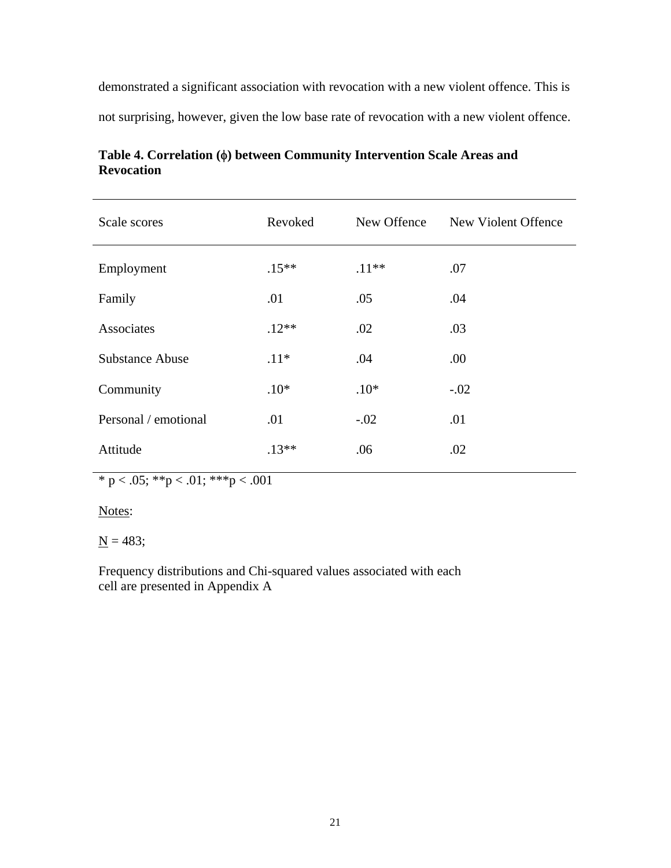demonstrated a significant association with revocation with a new violent offence. This is not surprising, however, given the low base rate of revocation with a new violent offence.

| Scale scores           | Revoked  | New Offence | New Violent Offence |
|------------------------|----------|-------------|---------------------|
| Employment             | $.15***$ | $.11**$     | .07                 |
| Family                 | .01      | .05         | .04                 |
| Associates             | $.12**$  | .02         | .03                 |
| <b>Substance Abuse</b> | $.11*$   | .04         | .00                 |
| Community              | $.10*$   | $.10*$      | $-.02$              |
| Personal / emotional   | .01      | $-.02$      | .01                 |
| Attitude               | $.13**$  | .06         | .02                 |

<span id="page-25-0"></span>**Table 4. Correlation (**φ**) between Community Intervention Scale Areas and Revocation** 

\* p < .05; \*\*p < .01; \*\*\*p < .001

Notes:

 $N = 483;$ 

Frequency distributions and Chi-squared values associated with each cell are presented in Appendix A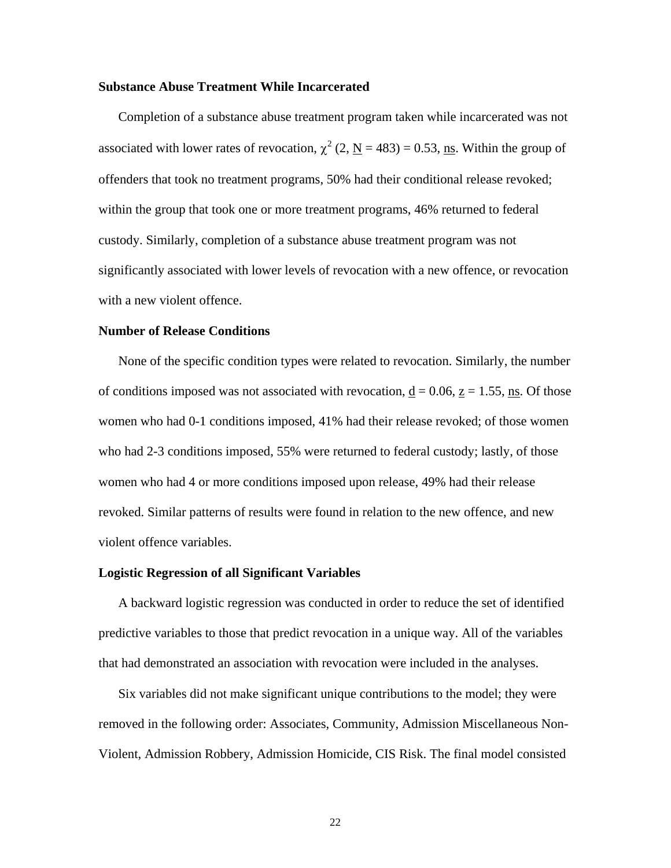### <span id="page-26-0"></span>**Substance Abuse Treatment While Incarcerated**

 Completion of a substance abuse treatment program taken while incarcerated was not associated with lower rates of revocation,  $\chi^2$  (2, <u>N</u> = 483) = 0.53, <u>ns</u>. Within the group of offenders that took no treatment programs, 50% had their conditional release revoked; within the group that took one or more treatment programs, 46% returned to federal custody. Similarly, completion of a substance abuse treatment program was not significantly associated with lower levels of revocation with a new offence, or revocation with a new violent offence.

### <span id="page-26-1"></span>**Number of Release Conditions**

 None of the specific condition types were related to revocation. Similarly, the number of conditions imposed was not associated with revocation,  $\underline{d} = 0.06$ ,  $\underline{z} = 1.55$ , ns. Of those women who had 0-1 conditions imposed, 41% had their release revoked; of those women who had 2-3 conditions imposed, 55% were returned to federal custody; lastly, of those women who had 4 or more conditions imposed upon release, 49% had their release revoked. Similar patterns of results were found in relation to the new offence, and new violent offence variables.

### <span id="page-26-2"></span>**Logistic Regression of all Significant Variables**

 A backward logistic regression was conducted in order to reduce the set of identified predictive variables to those that predict revocation in a unique way. All of the variables that had demonstrated an association with revocation were included in the analyses.

 Six variables did not make significant unique contributions to the model; they were removed in the following order: Associates, Community, Admission Miscellaneous Non-Violent, Admission Robbery, Admission Homicide, CIS Risk. The final model consisted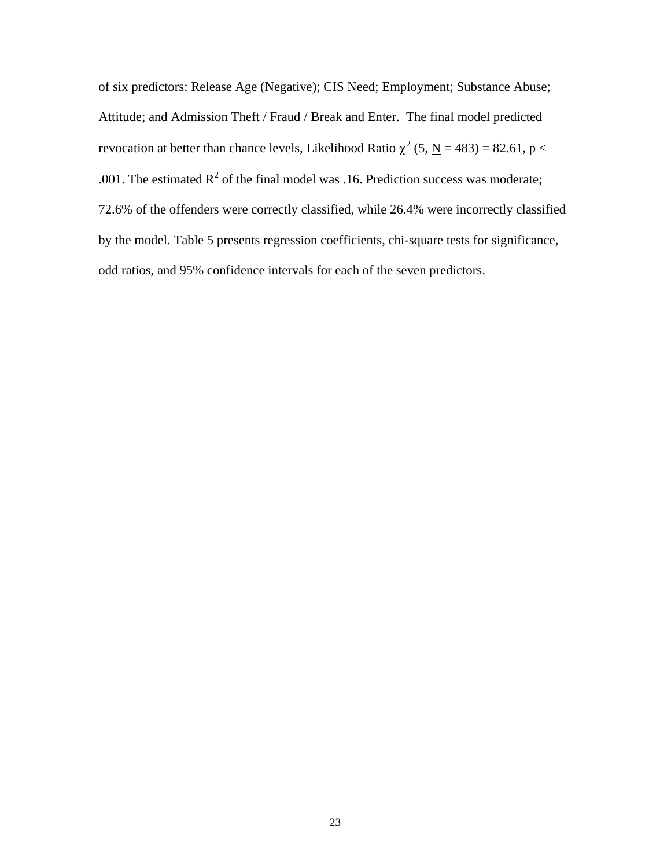of six predictors: Release Age (Negative); CIS Need; Employment; Substance Abuse; Attitude; and Admission Theft / Fraud / Break and Enter. The final model predicted revocation at better than chance levels, Likelihood Ratio  $\chi^2$  (5, <u>N</u> = 483) = 82.61, p < .001. The estimated  $R^2$  of the final model was .16. Prediction success was moderate; 72.6% of the offenders were correctly classified, while 26.4% were incorrectly classified by the model. Table 5 presents regression coefficients, chi-square tests for significance, odd ratios, and 95% confidence intervals for each of the seven predictors.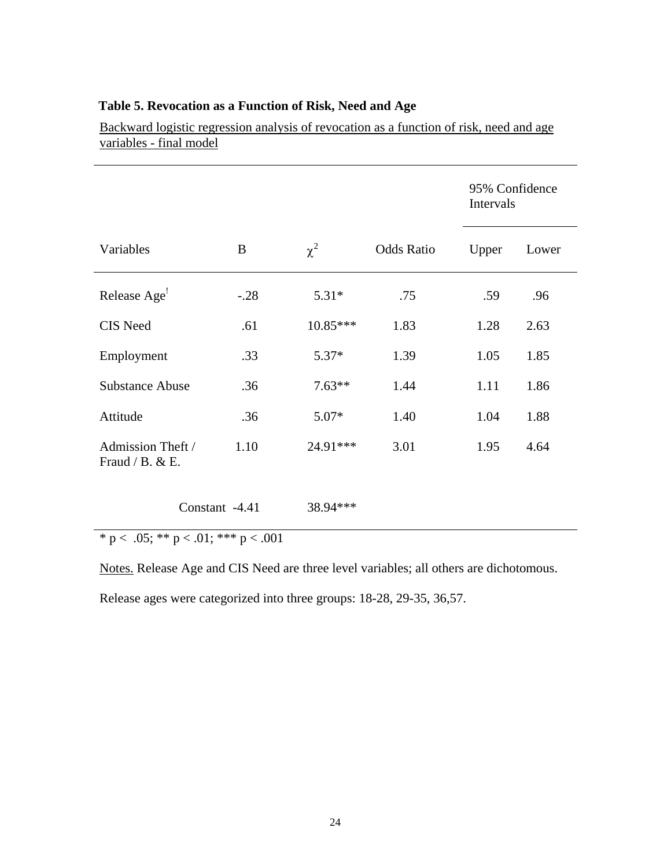|                                      |                |            |                   | Intervals | 95% Confidence |
|--------------------------------------|----------------|------------|-------------------|-----------|----------------|
| Variables                            | B              | $\chi^2$   | <b>Odds Ratio</b> | Upper     | Lower          |
| Release Age <sup>1</sup>             | $-.28$         | $5.31*$    | .75               | .59       | .96            |
| CIS Need                             | .61            | $10.85***$ | 1.83              | 1.28      | 2.63           |
| Employment                           | .33            | $5.37*$    | 1.39              | 1.05      | 1.85           |
| <b>Substance Abuse</b>               | .36            | $7.63**$   | 1.44              | 1.11      | 1.86           |
| Attitude                             | .36            | $5.07*$    | 1.40              | 1.04      | 1.88           |
| Admission Theft /<br>Fraud / B. & E. | 1.10           | 24.91***   | 3.01              | 1.95      | 4.64           |
|                                      | Constant -4.41 | 38.94 ***  |                   |           |                |

# <span id="page-28-0"></span>**Table 5. Revocation as a Function of Risk, Need and Age**

Backward logistic regression analysis of revocation as a function of risk, need and age variables - final model

 $\text{`p} < .05; \text{**} \text{p} < .01; \text{***} \text{p} < .001$ 

Notes. Release Age and CIS Need are three level variables; all others are dichotomous.

Release ages were categorized into three groups: 18-28, 29-35, 36,57.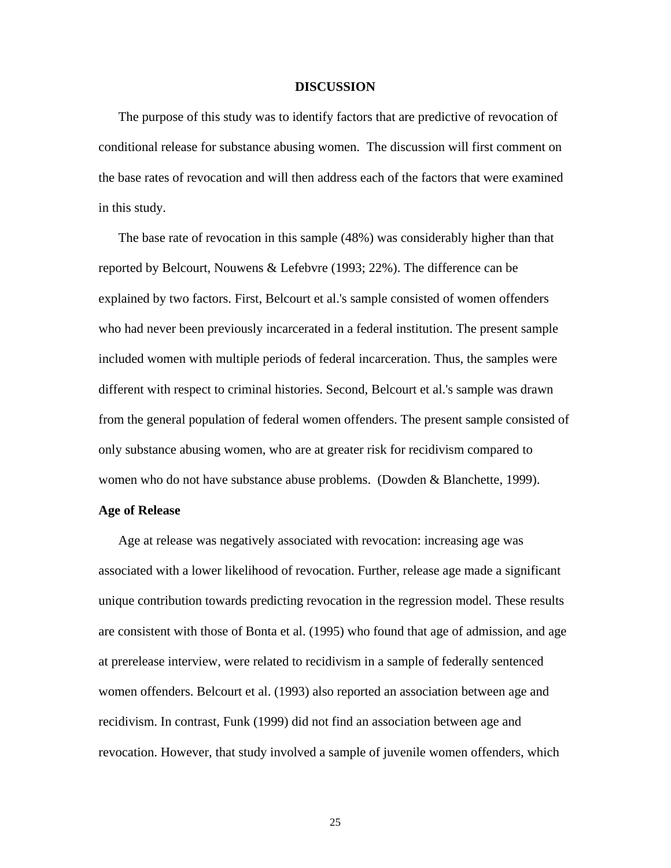#### <span id="page-29-0"></span>**DISCUSSION**

 The purpose of this study was to identify factors that are predictive of revocation of conditional release for substance abusing women. The discussion will first comment on the base rates of revocation and will then address each of the factors that were examined in this study.

 The base rate of revocation in this sample (48%) was considerably higher than that reported by Belcourt, Nouwens & Lefebvre (1993; 22%). The difference can be explained by two factors. First, Belcourt et al.'s sample consisted of women offenders who had never been previously incarcerated in a federal institution. The present sample included women with multiple periods of federal incarceration. Thus, the samples were different with respect to criminal histories. Second, Belcourt et al.'s sample was drawn from the general population of federal women offenders. The present sample consisted of only substance abusing women, who are at greater risk for recidivism compared to women who do not have substance abuse problems. (Dowden & Blanchette, 1999).

### <span id="page-29-1"></span>**Age of Release**

 Age at release was negatively associated with revocation: increasing age was associated with a lower likelihood of revocation. Further, release age made a significant unique contribution towards predicting revocation in the regression model. These results are consistent with those of Bonta et al. (1995) who found that age of admission, and age at prerelease interview, were related to recidivism in a sample of federally sentenced women offenders. Belcourt et al. (1993) also reported an association between age and recidivism. In contrast, Funk (1999) did not find an association between age and revocation. However, that study involved a sample of juvenile women offenders, which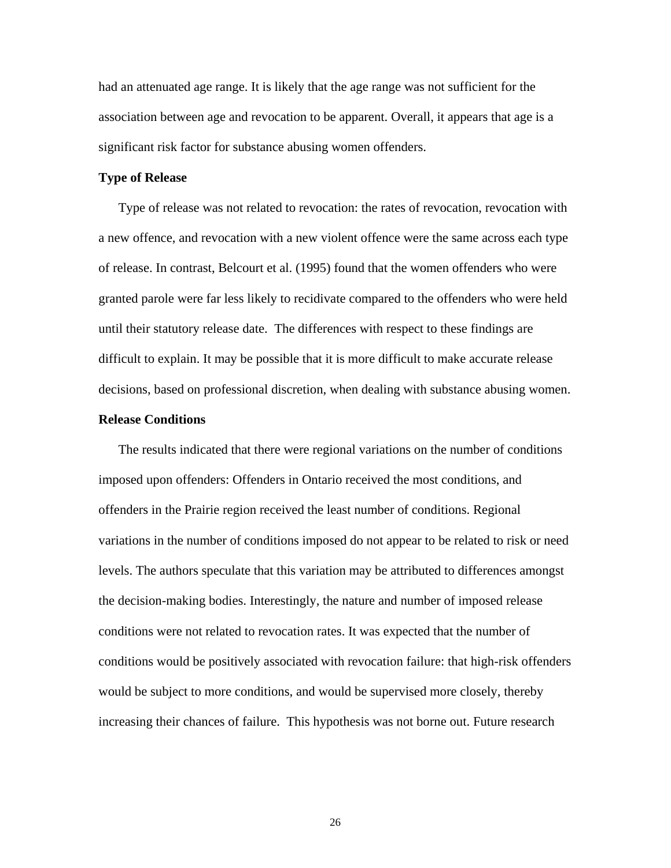had an attenuated age range. It is likely that the age range was not sufficient for the association between age and revocation to be apparent. Overall, it appears that age is a significant risk factor for substance abusing women offenders.

### <span id="page-30-0"></span>**Type of Release**

 Type of release was not related to revocation: the rates of revocation, revocation with a new offence, and revocation with a new violent offence were the same across each type of release. In contrast, Belcourt et al. (1995) found that the women offenders who were granted parole were far less likely to recidivate compared to the offenders who were held until their statutory release date. The differences with respect to these findings are difficult to explain. It may be possible that it is more difficult to make accurate release decisions, based on professional discretion, when dealing with substance abusing women.

### <span id="page-30-1"></span>**Release Conditions**

 The results indicated that there were regional variations on the number of conditions imposed upon offenders: Offenders in Ontario received the most conditions, and offenders in the Prairie region received the least number of conditions. Regional variations in the number of conditions imposed do not appear to be related to risk or need levels. The authors speculate that this variation may be attributed to differences amongst the decision-making bodies. Interestingly, the nature and number of imposed release conditions were not related to revocation rates. It was expected that the number of conditions would be positively associated with revocation failure: that high-risk offenders would be subject to more conditions, and would be supervised more closely, thereby increasing their chances of failure. This hypothesis was not borne out. Future research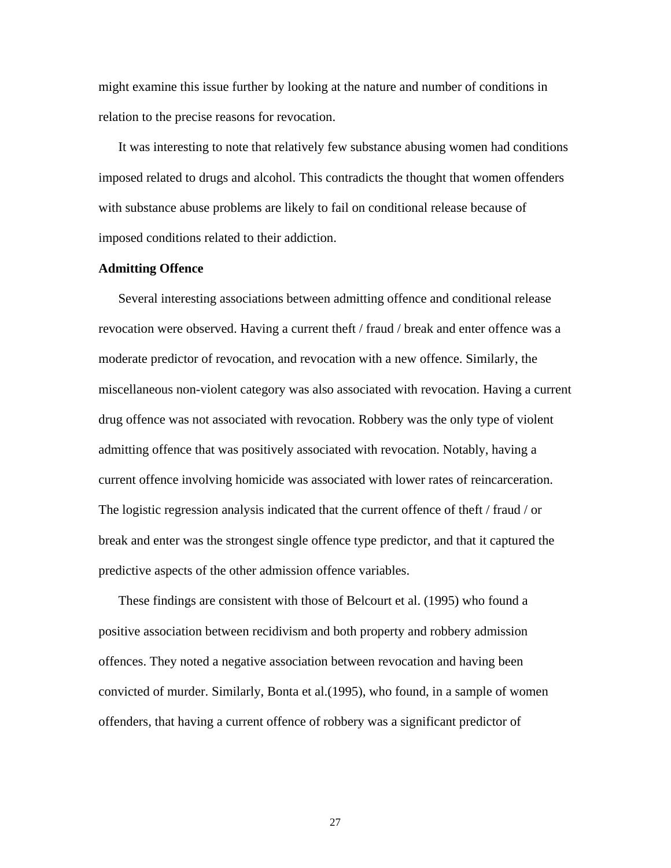might examine this issue further by looking at the nature and number of conditions in relation to the precise reasons for revocation.

 It was interesting to note that relatively few substance abusing women had conditions imposed related to drugs and alcohol. This contradicts the thought that women offenders with substance abuse problems are likely to fail on conditional release because of imposed conditions related to their addiction.

### <span id="page-31-0"></span>**Admitting Offence**

 Several interesting associations between admitting offence and conditional release revocation were observed. Having a current theft / fraud / break and enter offence was a moderate predictor of revocation, and revocation with a new offence. Similarly, the miscellaneous non-violent category was also associated with revocation. Having a current drug offence was not associated with revocation. Robbery was the only type of violent admitting offence that was positively associated with revocation. Notably, having a current offence involving homicide was associated with lower rates of reincarceration. The logistic regression analysis indicated that the current offence of theft / fraud / or break and enter was the strongest single offence type predictor, and that it captured the predictive aspects of the other admission offence variables.

 These findings are consistent with those of Belcourt et al. (1995) who found a positive association between recidivism and both property and robbery admission offences. They noted a negative association between revocation and having been convicted of murder. Similarly, Bonta et al.(1995), who found, in a sample of women offenders, that having a current offence of robbery was a significant predictor of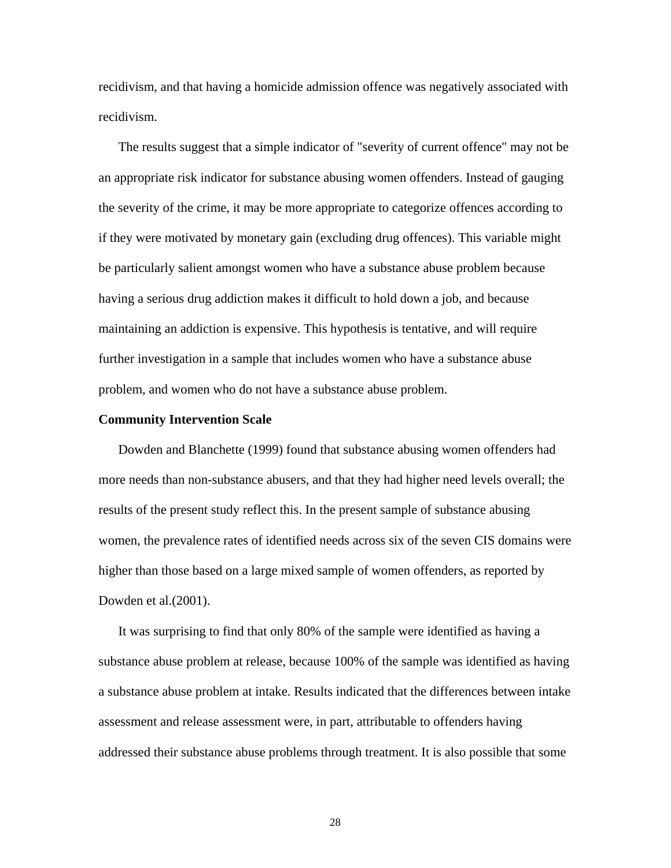recidivism, and that having a homicide admission offence was negatively associated with recidivism.

 The results suggest that a simple indicator of "severity of current offence" may not be an appropriate risk indicator for substance abusing women offenders. Instead of gauging the severity of the crime, it may be more appropriate to categorize offences according to if they were motivated by monetary gain (excluding drug offences). This variable might be particularly salient amongst women who have a substance abuse problem because having a serious drug addiction makes it difficult to hold down a job, and because maintaining an addiction is expensive. This hypothesis is tentative, and will require further investigation in a sample that includes women who have a substance abuse problem, and women who do not have a substance abuse problem.

#### <span id="page-32-0"></span>**Community Intervention Scale**

 Dowden and Blanchette (1999) found that substance abusing women offenders had more needs than non-substance abusers, and that they had higher need levels overall; the results of the present study reflect this. In the present sample of substance abusing women, the prevalence rates of identified needs across six of the seven CIS domains were higher than those based on a large mixed sample of women offenders, as reported by Dowden et al.(2001).

 It was surprising to find that only 80% of the sample were identified as having a substance abuse problem at release, because 100% of the sample was identified as having a substance abuse problem at intake. Results indicated that the differences between intake assessment and release assessment were, in part, attributable to offenders having addressed their substance abuse problems through treatment. It is also possible that some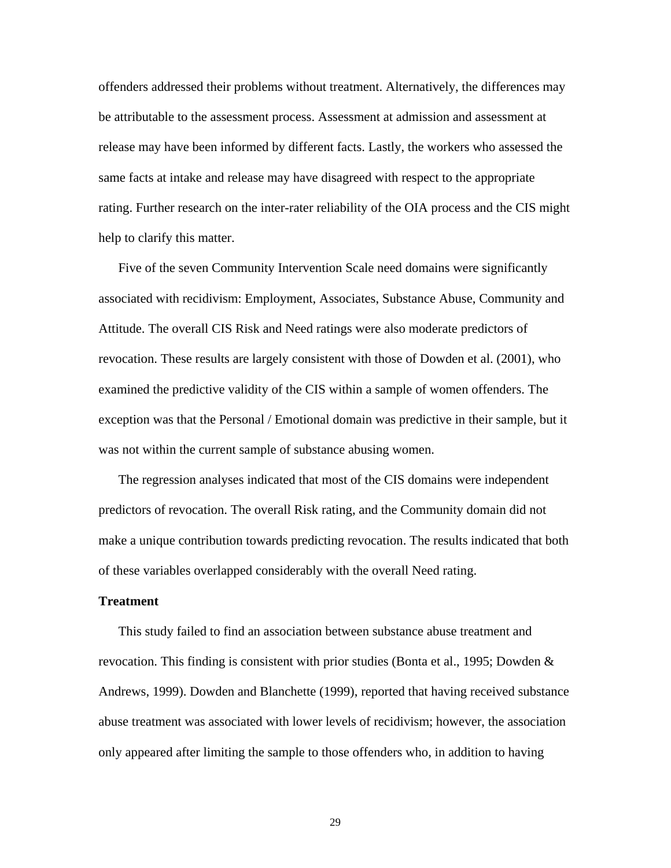offenders addressed their problems without treatment. Alternatively, the differences may be attributable to the assessment process. Assessment at admission and assessment at release may have been informed by different facts. Lastly, the workers who assessed the same facts at intake and release may have disagreed with respect to the appropriate rating. Further research on the inter-rater reliability of the OIA process and the CIS might help to clarify this matter.

 Five of the seven Community Intervention Scale need domains were significantly associated with recidivism: Employment, Associates, Substance Abuse, Community and Attitude. The overall CIS Risk and Need ratings were also moderate predictors of revocation. These results are largely consistent with those of Dowden et al. (2001), who examined the predictive validity of the CIS within a sample of women offenders. The exception was that the Personal / Emotional domain was predictive in their sample, but it was not within the current sample of substance abusing women.

 The regression analyses indicated that most of the CIS domains were independent predictors of revocation. The overall Risk rating, and the Community domain did not make a unique contribution towards predicting revocation. The results indicated that both of these variables overlapped considerably with the overall Need rating.

#### <span id="page-33-0"></span>**Treatment**

 This study failed to find an association between substance abuse treatment and revocation. This finding is consistent with prior studies (Bonta et al., 1995; Dowden & Andrews, 1999). Dowden and Blanchette (1999), reported that having received substance abuse treatment was associated with lower levels of recidivism; however, the association only appeared after limiting the sample to those offenders who, in addition to having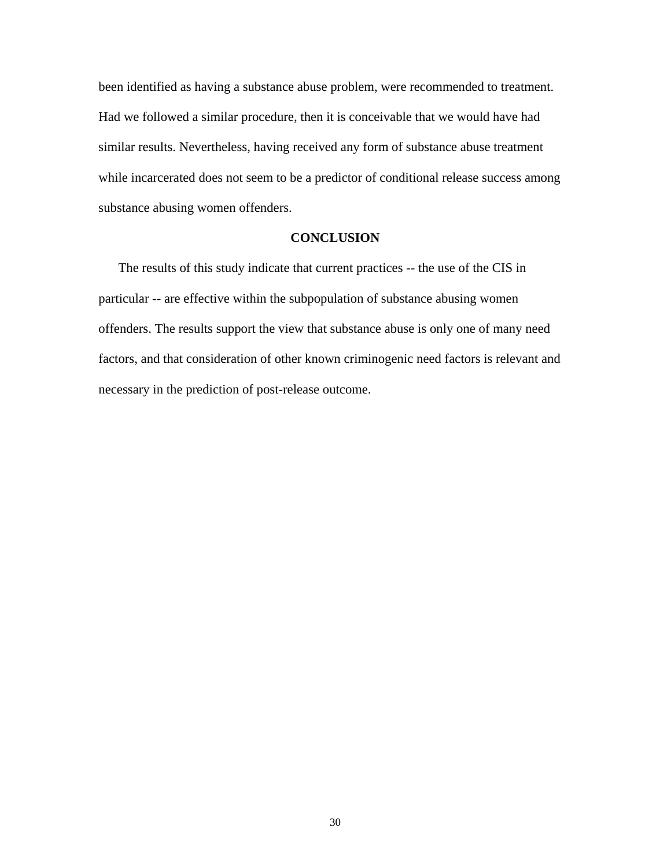been identified as having a substance abuse problem, were recommended to treatment. Had we followed a similar procedure, then it is conceivable that we would have had similar results. Nevertheless, having received any form of substance abuse treatment while incarcerated does not seem to be a predictor of conditional release success among substance abusing women offenders.

### <span id="page-34-0"></span>**CONCLUSION**

 The results of this study indicate that current practices -- the use of the CIS in particular -- are effective within the subpopulation of substance abusing women offenders. The results support the view that substance abuse is only one of many need factors, and that consideration of other known criminogenic need factors is relevant and necessary in the prediction of post-release outcome.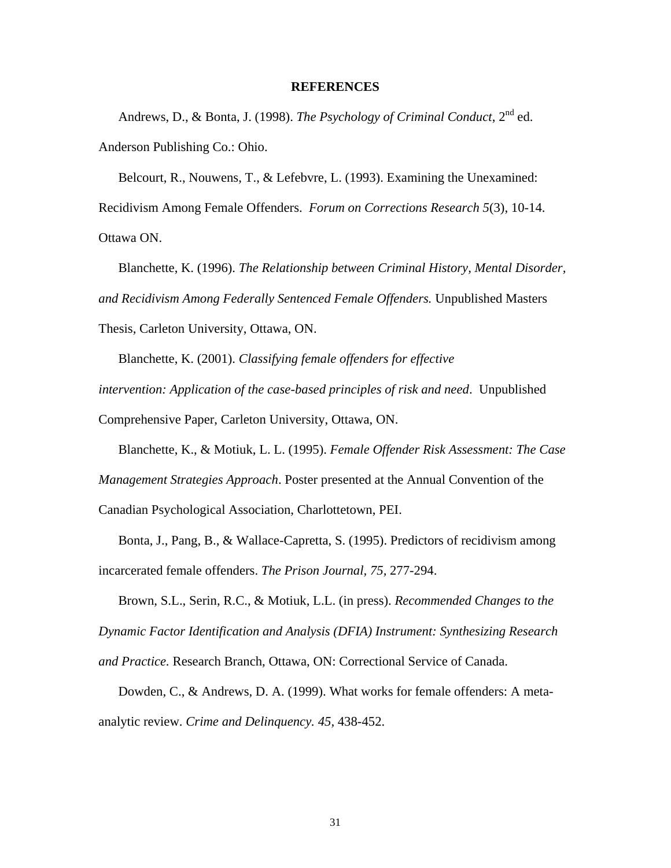### <span id="page-35-0"></span>**REFERENCES**

Andrews, D., & Bonta, J. (1998). *The Psychology of Criminal Conduct*,  $2^{nd}$  ed. Anderson Publishing Co.: Ohio.

 Belcourt, R., Nouwens, T., & Lefebvre, L. (1993). Examining the Unexamined: Recidivism Among Female Offenders. *Forum on Corrections Research 5*(3), 10-14. Ottawa ON.

 Blanchette, K. (1996). *The Relationship between Criminal History, Mental Disorder, and Recidivism Among Federally Sentenced Female Offenders.* Unpublished Masters Thesis, Carleton University, Ottawa, ON.

 Blanchette, K. (2001). *Classifying female offenders for effective intervention: Application of the case-based principles of risk and need*. Unpublished Comprehensive Paper, Carleton University, Ottawa, ON.

 Blanchette, K., & Motiuk, L. L. (1995). *Female Offender Risk Assessment: The Case Management Strategies Approach*. Poster presented at the Annual Convention of the Canadian Psychological Association, Charlottetown, PEI.

 Bonta, J., Pang, B., & Wallace-Capretta, S. (1995). Predictors of recidivism among incarcerated female offenders. *The Prison Journal, 75,* 277-294.

 Brown, S.L., Serin, R.C., & Motiuk, L.L. (in press). *Recommended Changes to the Dynamic Factor Identification and Analysis (DFIA) Instrument: Synthesizing Research and Practice.* Research Branch, Ottawa, ON: Correctional Service of Canada.

 Dowden, C., & Andrews, D. A. (1999). What works for female offenders: A metaanalytic review. *Crime and Delinquency. 45,* 438-452.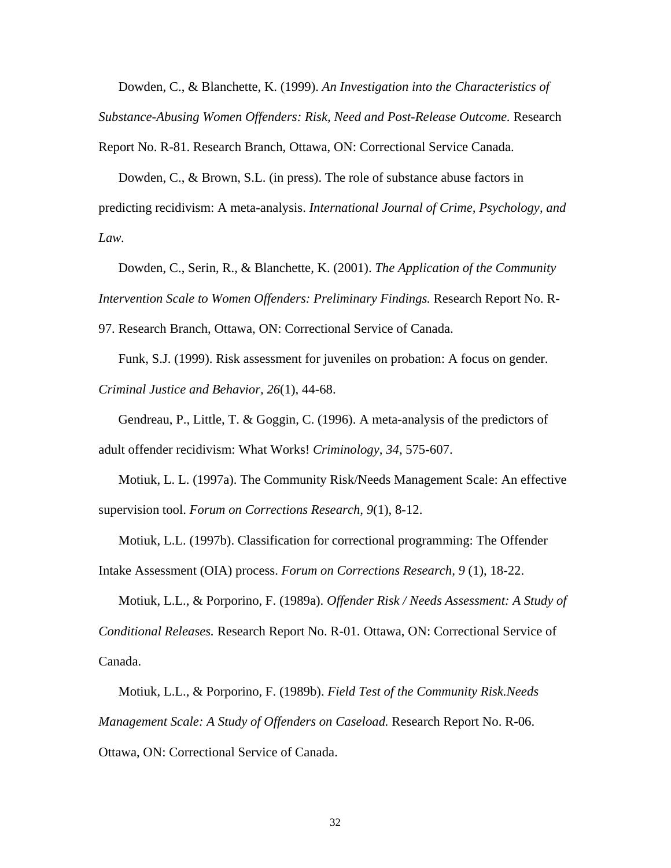Dowden, C., & Blanchette, K. (1999). *An Investigation into the Characteristics of Substance-Abusing Women Offenders: Risk, Need and Post-Release Outcome.* Research

Report No. R-81. Research Branch, Ottawa, ON: Correctional Service Canada.

Dowden, C., & Brown, S.L. (in press). The role of substance abuse factors in predicting recidivism: A meta-analysis. *International Journal of Crime, Psychology, and Law.* 

 Dowden, C., Serin, R., & Blanchette, K. (2001). *The Application of the Community Intervention Scale to Women Offenders: Preliminary Findings.* Research Report No. R-

97. Research Branch, Ottawa, ON: Correctional Service of Canada.

 Funk, S.J. (1999). Risk assessment for juveniles on probation: A focus on gender. *Criminal Justice and Behavior, 26*(1), 44-68.

 Gendreau, P., Little, T. & Goggin, C. (1996). A meta-analysis of the predictors of adult offender recidivism: What Works! *Criminology, 34*, 575-607.

 Motiuk, L. L. (1997a). The Community Risk/Needs Management Scale: An effective supervision tool. *Forum on Corrections Research, 9*(1), 8-12.

 Motiuk, L.L. (1997b). Classification for correctional programming: The Offender Intake Assessment (OIA) process. *Forum on Corrections Research, 9* (1), 18-22.

 Motiuk, L.L., & Porporino, F. (1989a). *Offender Risk / Needs Assessment: A Study of Conditional Releases.* Research Report No. R-01. Ottawa, ON: Correctional Service of Canada.

 Motiuk, L.L., & Porporino, F. (1989b). *Field Test of the Community Risk.Needs Management Scale: A Study of Offenders on Caseload.* Research Report No. R-06. Ottawa, ON: Correctional Service of Canada.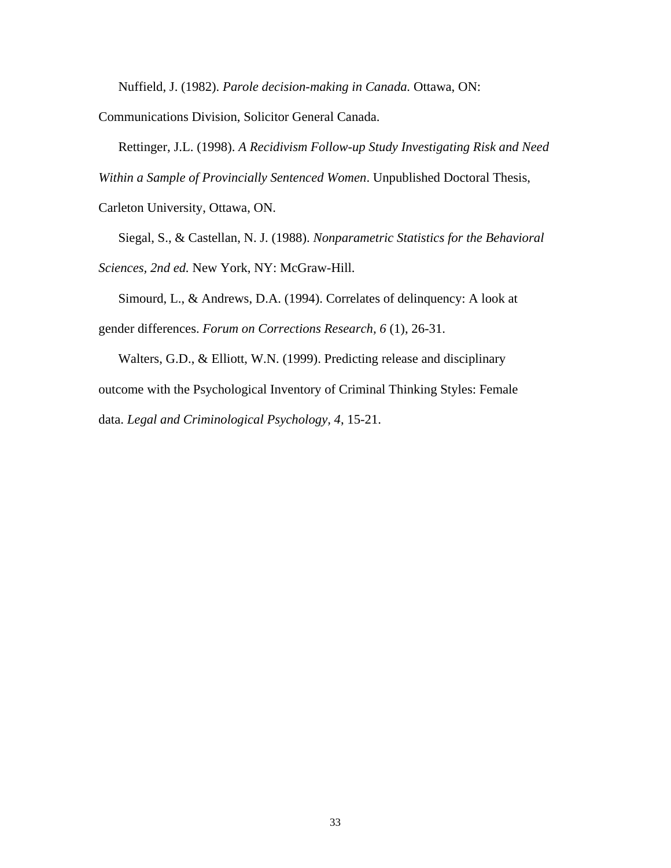Nuffield, J. (1982). *Parole decision-making in Canada.* Ottawa, ON:

Communications Division, Solicitor General Canada.

Rettinger, J.L. (1998). *A Recidivism Follow-up Study Investigating Risk and Need* 

*Within a Sample of Provincially Sentenced Women*. Unpublished Doctoral Thesis,

Carleton University, Ottawa, ON.

 Siegal, S., & Castellan, N. J. (1988). *Nonparametric Statistics for the Behavioral Sciences, 2nd ed.* New York, NY: McGraw-Hill.

 Simourd, L., & Andrews, D.A. (1994). Correlates of delinquency: A look at gender differences. *Forum on Corrections Research, 6* (1), 26-31.

 Walters, G.D., & Elliott, W.N. (1999). Predicting release and disciplinary outcome with the Psychological Inventory of Criminal Thinking Styles: Female data. *Legal and Criminological Psychology, 4*, 15-21.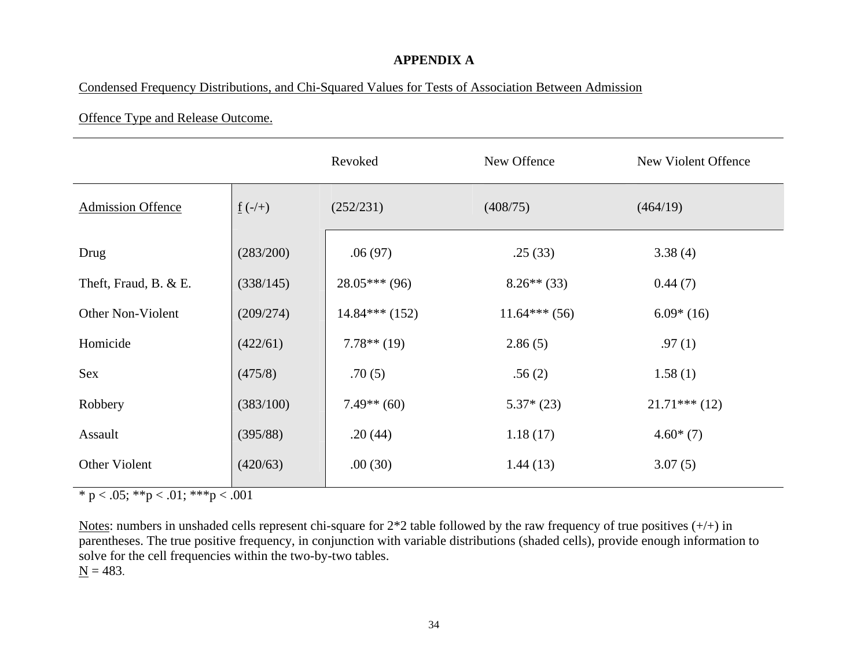# **APPENDIX A**

## Condensed Frequency Distributions, and Chi-Squared Values for Tests of Association Between Admission

## Offence Type and Release Outcome.

|                          |                       | Revoked         | New Offence    | New Violent Offence |
|--------------------------|-----------------------|-----------------|----------------|---------------------|
| <b>Admission Offence</b> | $\underline{f}$ (-/+) | (252/231)       | (408/75)       | (464/19)            |
| Drug                     | (283/200)             | .06(97)         | .25(33)        | 3.38(4)             |
| Theft, Fraud, B. & E.    | (338/145)             | $28.05***(96)$  | $8.26**$ (33)  | 0.44(7)             |
| Other Non-Violent        | (209/274)             | $14.84***(152)$ | $11.64***(56)$ | $6.09*(16)$         |
| Homicide                 | (422/61)              | $7.78**$ (19)   | 2.86(5)        | .97(1)              |
| Sex                      | (475/8)               | .70(5)          | .56(2)         | 1.58(1)             |
| Robbery                  | (383/100)             | $7.49**$ (60)   | $5.37*(23)$    | $21.71***(12)$      |
| Assault                  | (395/88)              | .20(44)         | 1.18(17)       | $4.60*(7)$          |
| Other Violent            | (420/63)              | .00(30)         | 1.44(13)       | 3.07(5)             |

\* p < .05; \*\*p < .01; \*\*\*p < .001

<span id="page-38-0"></span>Notes: numbers in unshaded cells represent chi-square for  $2*2$  table followed by the raw frequency of true positives  $(+/+)$  in parentheses. The true positive frequency, in conjunction with variable distributions (shaded cells), provide enough information to solve for the cell frequencies within the two-by-two tables.  $N = 483$ .